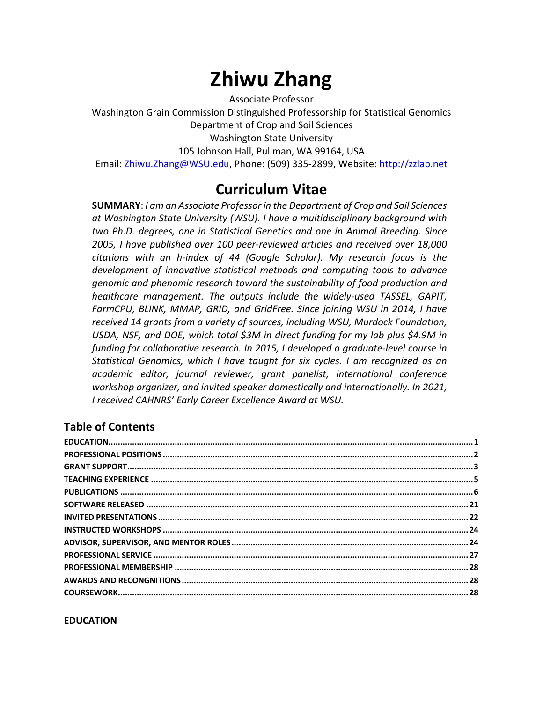# **Zhiwu Zhang**

Associate Professor

Washington Grain Commission Distinguished Professorship for Statistical Genomics Department of Crop and Soil Sciences Washington State University 105 Johnson Hall, Pullman, WA 99164, USA Email: Zhiwu.Zhang@WSU.edu, Phone: (509) 335-2899, Website: http://zzlab.net

# **Curriculum Vitae**

**SUMMARY**: *I am an Associate Professor in the Department of Crop and Soil Sciences at Washington State University (WSU). I have a multidisciplinary background with two Ph.D. degrees, one in Statistical Genetics and one in Animal Breeding. Since 2005, I have published over 100 peer-reviewed articles and received over 18,000 citations with an h-index of 44 (Google Scholar). My research focus is the development of innovative statistical methods and computing tools to advance genomic and phenomic research toward the sustainability of food production and healthcare management. The outputs include the widely-used TASSEL, GAPIT, FarmCPU, BLINK, MMAP, GRID, and GridFree. Since joining WSU in 2014, I have received 14 grants from a variety of sources, including WSU, Murdock Foundation, USDA, NSF, and DOE, which total \$3M in direct funding for my lab plus \$4.9M in funding for collaborative research. In 2015, I developed a graduate-level course in Statistical Genomics, which I have taught for six cycles. I am recognized as an academic editor, journal reviewer, grant panelist, international conference workshop organizer, and invited speaker domestically and internationally. In 2021, I received CAHNRS' Early Career Excellence Award at WSU.*

# **Table of Contents**

#### **EDUCATION**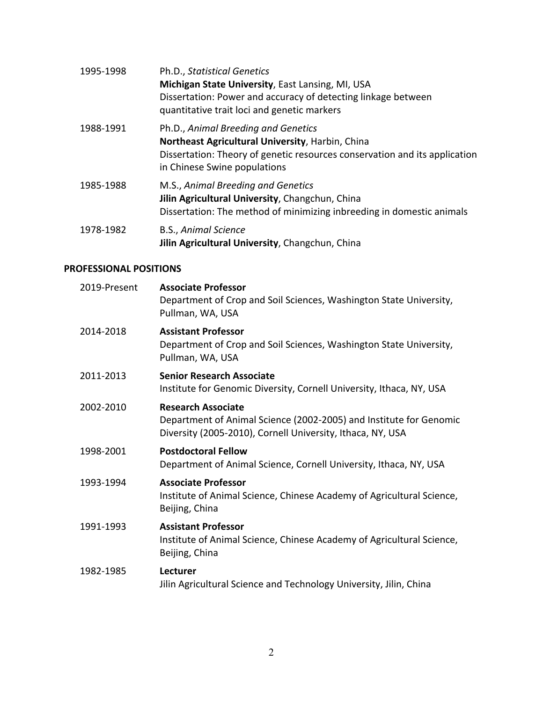| 1995-1998 | Ph.D., Statistical Genetics<br>Michigan State University, East Lansing, MI, USA<br>Dissertation: Power and accuracy of detecting linkage between<br>quantitative trait loci and genetic markers       |
|-----------|-------------------------------------------------------------------------------------------------------------------------------------------------------------------------------------------------------|
| 1988-1991 | Ph.D., Animal Breeding and Genetics<br>Northeast Agricultural University, Harbin, China<br>Dissertation: Theory of genetic resources conservation and its application<br>in Chinese Swine populations |
| 1985-1988 | M.S., Animal Breeding and Genetics<br>Jilin Agricultural University, Changchun, China<br>Dissertation: The method of minimizing inbreeding in domestic animals                                        |
| 1978-1982 | B.S., Animal Science<br>Jilin Agricultural University, Changchun, China                                                                                                                               |

#### **PROFESSIONAL POSITIONS**

| 2019-Present | <b>Associate Professor</b><br>Department of Crop and Soil Sciences, Washington State University,<br>Pullman, WA, USA                                          |
|--------------|---------------------------------------------------------------------------------------------------------------------------------------------------------------|
| 2014-2018    | <b>Assistant Professor</b><br>Department of Crop and Soil Sciences, Washington State University,<br>Pullman, WA, USA                                          |
| 2011-2013    | <b>Senior Research Associate</b><br>Institute for Genomic Diversity, Cornell University, Ithaca, NY, USA                                                      |
| 2002-2010    | <b>Research Associate</b><br>Department of Animal Science (2002-2005) and Institute for Genomic<br>Diversity (2005-2010), Cornell University, Ithaca, NY, USA |
| 1998-2001    | <b>Postdoctoral Fellow</b><br>Department of Animal Science, Cornell University, Ithaca, NY, USA                                                               |
| 1993-1994    | <b>Associate Professor</b><br>Institute of Animal Science, Chinese Academy of Agricultural Science,<br>Beijing, China                                         |
| 1991-1993    | <b>Assistant Professor</b><br>Institute of Animal Science, Chinese Academy of Agricultural Science,<br>Beijing, China                                         |
| 1982-1985    | Lecturer<br>Jilin Agricultural Science and Technology University, Jilin, China                                                                                |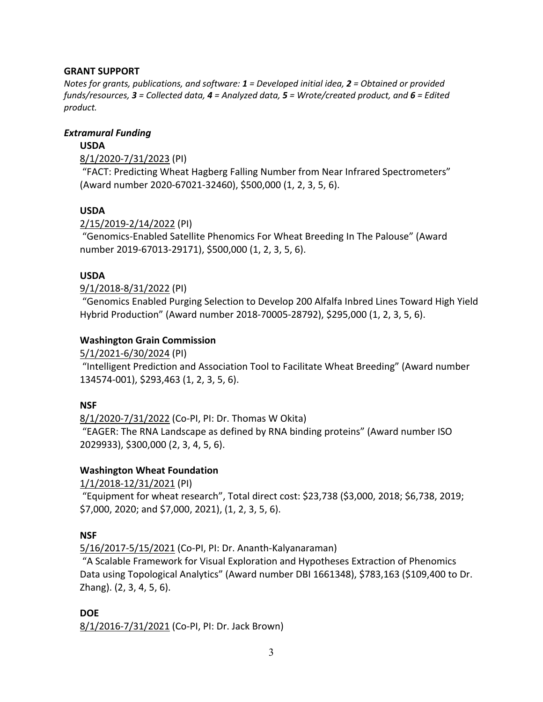#### **GRANT SUPPORT**

*Notes for grants, publications, and software: 1 = Developed initial idea, 2 = Obtained or provided funds/resources, 3 = Collected data, 4 = Analyzed data, 5 = Wrote/created product, and 6 = Edited product.*

#### *Extramural Funding*

#### **USDA**

8/1/2020-7/31/2023 (PI)

"FACT: Predicting Wheat Hagberg Falling Number from Near Infrared Spectrometers" (Award number 2020-67021-32460), \$500,000 (1, 2, 3, 5, 6).

#### **USDA**

2/15/2019-2/14/2022 (PI)

"Genomics-Enabled Satellite Phenomics For Wheat Breeding In The Palouse" (Award number 2019-67013-29171), \$500,000 (1, 2, 3, 5, 6).

#### **USDA**

#### 9/1/2018-8/31/2022 (PI)

"Genomics Enabled Purging Selection to Develop 200 Alfalfa Inbred Lines Toward High Yield Hybrid Production" (Award number 2018-70005-28792), \$295,000 (1, 2, 3, 5, 6).

#### **Washington Grain Commission**

5/1/2021-6/30/2024 (PI)

"Intelligent Prediction and Association Tool to Facilitate Wheat Breeding" (Award number 134574-001), \$293,463 (1, 2, 3, 5, 6).

#### **NSF**

8/1/2020-7/31/2022 (Co-PI, PI: Dr. Thomas W Okita)

"EAGER: The RNA Landscape as defined by RNA binding proteins" (Award number ISO 2029933), \$300,000 (2, 3, 4, 5, 6).

#### **Washington Wheat Foundation**

1/1/2018-12/31/2021 (PI)

"Equipment for wheat research", Total direct cost: \$23,738 (\$3,000, 2018; \$6,738, 2019; \$7,000, 2020; and \$7,000, 2021), (1, 2, 3, 5, 6).

#### **NSF**

5/16/2017-5/15/2021 (Co-PI, PI: Dr. Ananth-Kalyanaraman)

"A Scalable Framework for Visual Exploration and Hypotheses Extraction of Phenomics Data using Topological Analytics" (Award number DBI 1661348), \$783,163 (\$109,400 to Dr. Zhang). (2, 3, 4, 5, 6).

**DOE** 8/1/2016-7/31/2021 (Co-PI, PI: Dr. Jack Brown)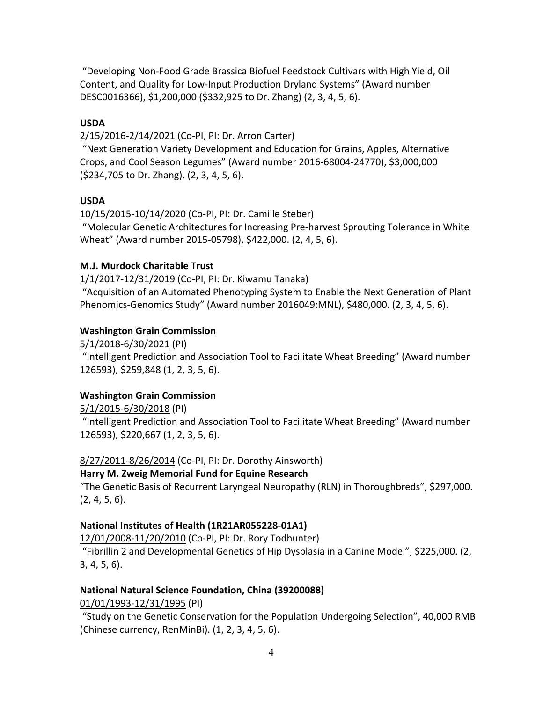"Developing Non-Food Grade Brassica Biofuel Feedstock Cultivars with High Yield, Oil Content, and Quality for Low-Input Production Dryland Systems" (Award number DESC0016366), \$1,200,000 (\$332,925 to Dr. Zhang) (2, 3, 4, 5, 6).

#### **USDA**

2/15/2016-2/14/2021 (Co-PI, PI: Dr. Arron Carter)

"Next Generation Variety Development and Education for Grains, Apples, Alternative Crops, and Cool Season Legumes" (Award number 2016-68004-24770), \$3,000,000 (\$234,705 to Dr. Zhang). (2, 3, 4, 5, 6).

# **USDA**

10/15/2015-10/14/2020 (Co-PI, PI: Dr. Camille Steber)

"Molecular Genetic Architectures for Increasing Pre-harvest Sprouting Tolerance in White Wheat" (Award number 2015-05798), \$422,000. (2, 4, 5, 6).

# **M.J. Murdock Charitable Trust**

1/1/2017-12/31/2019 (Co-PI, PI: Dr. Kiwamu Tanaka)

"Acquisition of an Automated Phenotyping System to Enable the Next Generation of Plant Phenomics-Genomics Study" (Award number 2016049:MNL), \$480,000. (2, 3, 4, 5, 6).

# **Washington Grain Commission**

5/1/2018-6/30/2021 (PI)

"Intelligent Prediction and Association Tool to Facilitate Wheat Breeding" (Award number 126593), \$259,848 (1, 2, 3, 5, 6).

# **Washington Grain Commission**

5/1/2015-6/30/2018 (PI) "Intelligent Prediction and Association Tool to Facilitate Wheat Breeding" (Award number

126593), \$220,667 (1, 2, 3, 5, 6).

# 8/27/2011-8/26/2014 (Co-PI, PI: Dr. Dorothy Ainsworth)

# **Harry M. Zweig Memorial Fund for Equine Research**

"The Genetic Basis of Recurrent Laryngeal Neuropathy (RLN) in Thoroughbreds", \$297,000. (2, 4, 5, 6).

# **National Institutes of Health (1R21AR055228-01A1)**

12/01/2008-11/20/2010 (Co-PI, PI: Dr. Rory Todhunter)

"Fibrillin 2 and Developmental Genetics of Hip Dysplasia in a Canine Model", \$225,000. (2, 3, 4, 5, 6).

#### **National Natural Science Foundation, China (39200088)**

01/01/1993-12/31/1995 (PI)

"Study on the Genetic Conservation for the Population Undergoing Selection", 40,000 RMB (Chinese currency, RenMinBi). (1, 2, 3, 4, 5, 6).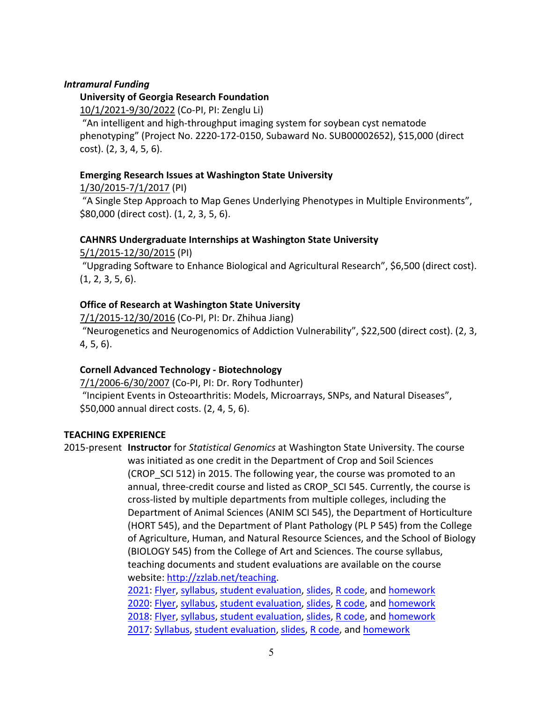#### *Intramural Funding*

#### **University of Georgia Research Foundation**

10/1/2021-9/30/2022 (Co-PI, PI: Zenglu Li)

"An intelligent and high-throughput imaging system for soybean cyst nematode phenotyping" (Project No. 2220-172-0150, Subaward No. SUB00002652), \$15,000 (direct cost). (2, 3, 4, 5, 6).

#### **Emerging Research Issues at Washington State University**

1/30/2015-7/1/2017 (PI)

"A Single Step Approach to Map Genes Underlying Phenotypes in Multiple Environments", \$80,000 (direct cost). (1, 2, 3, 5, 6).

#### **CAHNRS Undergraduate Internships at Washington State University**

5/1/2015-12/30/2015 (PI)

"Upgrading Software to Enhance Biological and Agricultural Research", \$6,500 (direct cost). (1, 2, 3, 5, 6).

#### **Office of Research at Washington State University**

7/1/2015-12/30/2016 (Co-PI, PI: Dr. Zhihua Jiang) "Neurogenetics and Neurogenomics of Addiction Vulnerability", \$22,500 (direct cost). (2, 3, 4, 5, 6).

#### **Cornell Advanced Technology - Biotechnology**

7/1/2006-6/30/2007 (Co-PI, PI: Dr. Rory Todhunter) "Incipient Events in Osteoarthritis: Models, Microarrays, SNPs, and Natural Diseases", \$50,000 annual direct costs. (2, 4, 5, 6).

#### **TEACHING EXPERIENCE**

2015-present **Instructor** for *Statistical Genomics* at Washington State University. The course was initiated as one credit in the Department of Crop and Soil Sciences (CROP SCI 512) in 2015. The following year, the course was promoted to an annual, three-credit course and listed as CROP\_SCI 545. Currently, the course is cross-listed by multiple departments from multiple colleges, including the Department of Animal Sciences (ANIM SCI 545), the Department of Horticulture (HORT 545), and the Department of Plant Pathology (PL P 545) from the College of Agriculture, Human, and Natural Resource Sciences, and the School of Biology (BIOLOGY 545) from the College of Art and Sciences. The course syllabus, teaching documents and student evaluations are available on the course website: http://zzlab.net/teaching. 2021: Flyer, syllabus, student evaluation, slides, R code, and homework

2020: Flyer, syllabus, student evaluation, slides, R code, and homework 2018: Flyer, syllabus, student evaluation, slides, R code, and homework 2017: Syllabus, student evaluation, slides, R code, and homework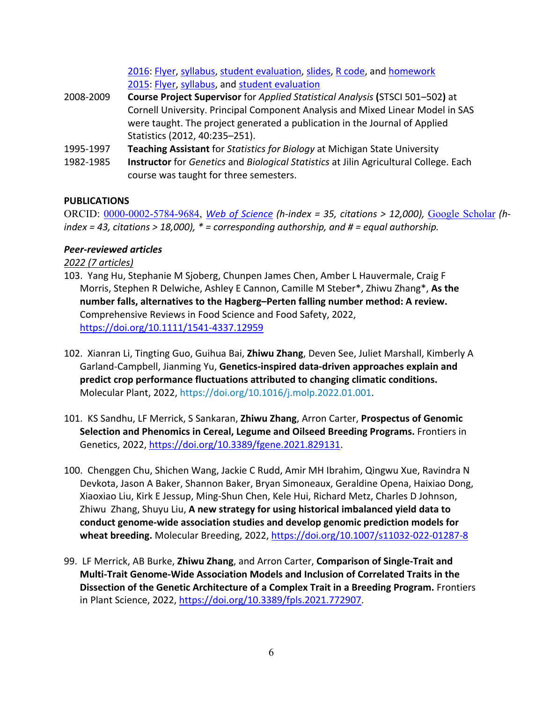2016: Flyer, syllabus, student evaluation, slides, R code, and homework 2015: Flyer, syllabus, and student evaluation

- 2008-2009 **Course Project Supervisor** for *Applied Statistical Analysis* **(**STSCI 501–502**)** at Cornell University. Principal Component Analysis and Mixed Linear Model in SAS were taught. The project generated a publication in the Journal of Applied Statistics (2012, 40:235–251).
- 1995-1997 **Teaching Assistant** for *Statistics for Biology* at Michigan State University
- 1982-1985 **Instructor** for *Genetics* and *Biological Statistics* at Jilin Agricultural College. Each course was taught for three semesters.

#### **PUBLICATIONS**

ORCID: 0000-0002-5784-9684, *Web of Science (h-index = 35, citations > 12,000),* Google Scholar *(hindex = 43, citations > 18,000), \* = corresponding authorship, and # = equal authorship.*

#### *Peer-reviewed articles*

*2022 (7 articles)*

- 103.Yang Hu, Stephanie M Sjoberg, Chunpen James Chen, Amber L Hauvermale, Craig F Morris, Stephen R Delwiche, Ashley E Cannon, Camille M Steber\*, Zhiwu Zhang\*, **As the number falls, alternatives to the Hagberg–Perten falling number method: A review.**  Comprehensive Reviews in Food Science and Food Safety, 2022, https://doi.org/10.1111/1541-4337.12959
- 102.Xianran Li, Tingting Guo, Guihua Bai, **Zhiwu Zhang**, Deven See, Juliet Marshall, Kimberly A Garland-Campbell, Jianming Yu, **Genetics-inspired data-driven approaches explain and predict crop performance fluctuations attributed to changing climatic conditions.**  Molecular Plant, 2022, https://doi.org/10.1016/j.molp.2022.01.001.
- 101.KS Sandhu, LF Merrick, S Sankaran, **Zhiwu Zhang**, Arron Carter, **Prospectus of Genomic Selection and Phenomics in Cereal, Legume and Oilseed Breeding Programs.** Frontiers in Genetics, 2022, https://doi.org/10.3389/fgene.2021.829131.
- 100.Chenggen Chu, Shichen Wang, Jackie C Rudd, Amir MH Ibrahim, Qingwu Xue, Ravindra N Devkota, Jason A Baker, Shannon Baker, Bryan Simoneaux, Geraldine Opena, Haixiao Dong, Xiaoxiao Liu, Kirk E Jessup, Ming-Shun Chen, Kele Hui, Richard Metz, Charles D Johnson, Zhiwu Zhang, Shuyu Liu, **A new strategy for using historical imbalanced yield data to conduct genome-wide association studies and develop genomic prediction models for wheat breeding.** Molecular Breeding, 2022, https://doi.org/10.1007/s11032-022-01287-8
- 99.LF Merrick, AB Burke, **Zhiwu Zhang**, and Arron Carter, **Comparison of Single-Trait and Multi-Trait Genome-Wide Association Models and Inclusion of Correlated Traits in the Dissection of the Genetic Architecture of a Complex Trait in a Breeding Program.** Frontiers in Plant Science, 2022, https://doi.org/10.3389/fpls.2021.772907.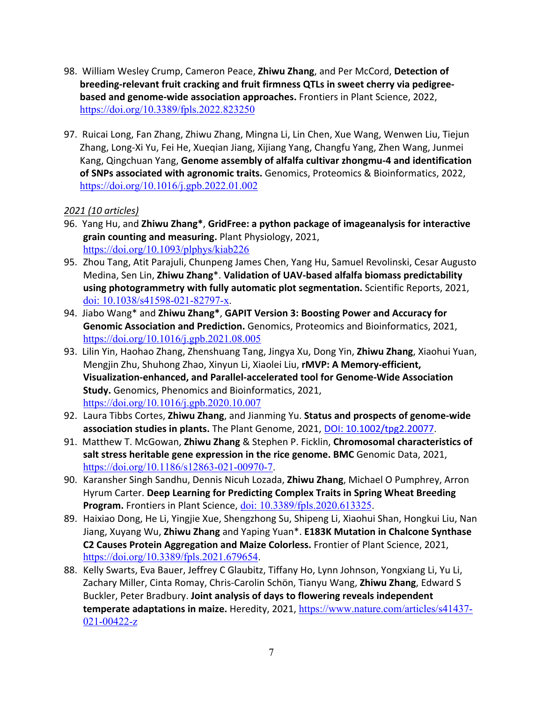- 98.William Wesley Crump, Cameron Peace, **Zhiwu Zhang**, and Per McCord, **Detection of breeding-relevant fruit cracking and fruit firmness QTLs in sweet cherry via pedigreebased and genome-wide association approaches.** Frontiers in Plant Science, 2022, https://doi.org/10.3389/fpls.2022.823250
- 97.Ruicai Long, Fan Zhang, Zhiwu Zhang, Mingna Li, Lin Chen, Xue Wang, Wenwen Liu, Tiejun Zhang, Long-Xi Yu, Fei He, Xueqian Jiang, Xijiang Yang, Changfu Yang, Zhen Wang, Junmei Kang, Qingchuan Yang, **Genome assembly of alfalfa cultivar zhongmu-4 and identification of SNPs associated with agronomic traits.** Genomics, Proteomics & Bioinformatics, 2022, https://doi.org/10.1016/j.gpb.2022.01.002

# *2021 (10 articles)*

- 96.Yang Hu, and **Zhiwu Zhang\***, **GridFree: a python package of imageanalysis for interactive grain counting and measuring.** Plant Physiology, 2021, https://doi.org/10.1093/plphys/kiab226
- 95. Zhou Tang, Atit Parajuli, Chunpeng James Chen, Yang Hu, Samuel Revolinski, Cesar Augusto Medina, Sen Lin, **Zhiwu Zhang**\*. **Validation of UAV-based alfalfa biomass predictability using photogrammetry with fully automatic plot segmentation.** Scientific Reports, 2021, doi: 10.1038/s41598-021-82797-x.
- 94.Jiabo Wang\* and **Zhiwu Zhang\***, **GAPIT Version 3: Boosting Power and Accuracy for Genomic Association and Prediction.** Genomics, Proteomics and Bioinformatics, 2021, https://doi.org/10.1016/j.gpb.2021.08.005
- 93.Lilin Yin, Haohao Zhang, Zhenshuang Tang, Jingya Xu, Dong Yin, **Zhiwu Zhang**, Xiaohui Yuan, Mengjin Zhu, Shuhong Zhao, Xinyun Li, Xiaolei Liu, **rMVP: A Memory-efficient, Visualization-enhanced, and Parallel-accelerated tool for Genome-Wide Association Study.** Genomics, Phenomics and Bioinformatics, 2021, https://doi.org/10.1016/j.gpb.2020.10.007
- 92. Laura Tibbs Cortes, **Zhiwu Zhang**, and Jianming Yu. **Status and prospects of genome-wide association studies in plants.** The Plant Genome, 2021, DOI: 10.1002/tpg2.20077.
- 91.Matthew T. McGowan, **Zhiwu Zhang** & Stephen P. Ficklin, **Chromosomal characteristics of salt stress heritable gene expression in the rice genome. BMC** Genomic Data, 2021, https://doi.org/10.1186/s12863-021-00970-7.
- 90. Karansher Singh Sandhu, Dennis Nicuh Lozada, **Zhiwu Zhang**, Michael O Pumphrey, Arron Hyrum Carter. **Deep Learning for Predicting Complex Traits in Spring Wheat Breeding Program.** Frontiers in Plant Science, doi: 10.3389/fpls.2020.613325.
- 89. Haixiao Dong, He Li, Yingjie Xue, Shengzhong Su, Shipeng Li, Xiaohui Shan, Hongkui Liu, Nan Jiang, Xuyang Wu, **Zhiwu Zhang** and Yaping Yuan\*. **E183K Mutation in Chalcone Synthase C2 Causes Protein Aggregation and Maize Colorless.** Frontier of Plant Science, 2021, https://doi.org/10.3389/fpls.2021.679654.
- 88. Kelly Swarts, Eva Bauer, Jeffrey C Glaubitz, Tiffany Ho, Lynn Johnson, Yongxiang Li, Yu Li, Zachary Miller, Cinta Romay, Chris-Carolin Schön, Tianyu Wang, **Zhiwu Zhang**, Edward S Buckler, Peter Bradbury. **Joint analysis of days to flowering reveals independent temperate adaptations in maize.** Heredity, 2021, https://www.nature.com/articles/s41437- 021-00422-z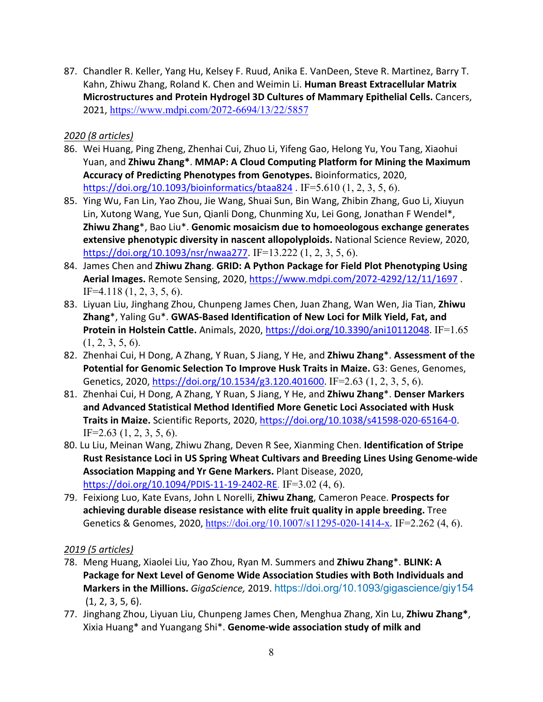87. Chandler R. Keller, Yang Hu, Kelsey F. Ruud, Anika E. VanDeen, Steve R. Martinez, Barry T. Kahn, Zhiwu Zhang, Roland K. Chen and Weimin Li. **Human Breast Extracellular Matrix Microstructures and Protein Hydrogel 3D Cultures of Mammary Epithelial Cells.** Cancers, 2021, https://www.mdpi.com/2072-6694/13/22/5857

# *2020 (8 articles)*

- 86. Wei Huang, Ping Zheng, Zhenhai Cui, Zhuo Li, Yifeng Gao, Helong Yu, You Tang, Xiaohui Yuan, and **Zhiwu Zhang\***. **MMAP: A Cloud Computing Platform for Mining the Maximum Accuracy of Predicting Phenotypes from Genotypes.** Bioinformatics, 2020, https://doi.org/10.1093/bioinformatics/btaa824 . IF=5.610 (1, 2, 3, 5, 6).
- 85. Ying Wu, Fan Lin, Yao Zhou, Jie Wang, Shuai Sun, Bin Wang, Zhibin Zhang, Guo Li, Xiuyun Lin, Xutong Wang, Yue Sun, Qianli Dong, Chunming Xu, Lei Gong, Jonathan F Wendel\*, **Zhiwu Zhang**\*, Bao Liu\*. **Genomic mosaicism due to homoeologous exchange generates extensive phenotypic diversity in nascent allopolyploids.** National Science Review, 2020, https://doi.org/10.1093/nsr/nwaa277. IF=13.222 (1, 2, 3, 5, 6).
- 84. James Chen and **Zhiwu Zhang**. **GRID: A Python Package for Field Plot Phenotyping Using Aerial Images.** Remote Sensing, 2020, https://www.mdpi.com/2072-4292/12/11/1697 . IF=4.118 (1, 2, 3, 5, 6).
- 83. Liyuan Liu, Jinghang Zhou, Chunpeng James Chen, Juan Zhang, Wan Wen, Jia Tian, **Zhiwu Zhang**\*, Yaling Gu\*. **GWAS-Based Identification of New Loci for Milk Yield, Fat, and Protein in Holstein Cattle.** Animals, 2020, https://doi.org/10.3390/ani10112048. IF=1.65  $(1, 2, 3, 5, 6).$
- 82. Zhenhai Cui, H Dong, A Zhang, Y Ruan, S Jiang, Y He, and **Zhiwu Zhang**\*. **Assessment of the Potential for Genomic Selection To Improve Husk Traits in Maize.** G3: Genes, Genomes, Genetics, 2020, https://doi.org/10.1534/g3.120.401600. IF=2.63 (1, 2, 3, 5, 6).
- 81. Zhenhai Cui, H Dong, A Zhang, Y Ruan, S Jiang, Y He, and **Zhiwu Zhang**\*. **Denser Markers and Advanced Statistical Method Identified More Genetic Loci Associated with Husk Traits in Maize.** Scientific Reports, 2020, https://doi.org/10.1038/s41598-020-65164-0. IF=2.63  $(1, 2, 3, 5, 6)$ .
- 80. Lu Liu, Meinan Wang, Zhiwu Zhang, Deven R See, Xianming Chen. **Identification of Stripe Rust Resistance Loci in US Spring Wheat Cultivars and Breeding Lines Using Genome-wide Association Mapping and Yr Gene Markers.** Plant Disease, 2020, https://doi.org/10.1094/PDIS-11-19-2402-RE. IF=3.02 (4, 6).
- 79. Feixiong Luo, Kate Evans, John L Norelli, **Zhiwu Zhang**, Cameron Peace. **Prospects for achieving durable disease resistance with elite fruit quality in apple breeding.** Tree Genetics & Genomes, 2020, https://doi.org/10.1007/s11295-020-1414-x*.* IF=2.262 (4, 6).

# *2019 (5 articles)*

- 78. Meng Huang, Xiaolei Liu, Yao Zhou, Ryan M. Summers and **Zhiwu Zhang**\*. **BLINK: A Package for Next Level of Genome Wide Association Studies with Both Individuals and Markers in the Millions.** *GigaScience,* 2019. https://doi.org/10.1093/gigascience/giy154 (1, 2, 3, 5, 6).
- 77. Jinghang Zhou, Liyuan Liu, Chunpeng James Chen, Menghua Zhang, Xin Lu, **Zhiwu Zhang\***, Xixia Huang\* and Yuangang Shi\*. **Genome-wide association study of milk and**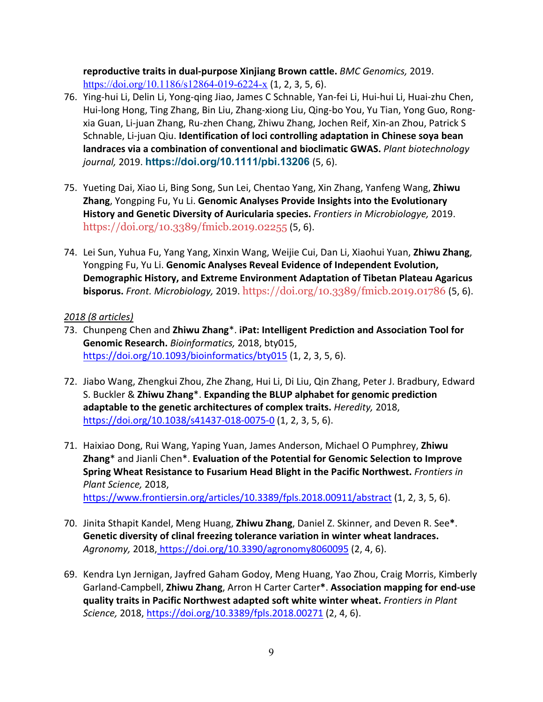**reproductive traits in dual-purpose Xinjiang Brown cattle.** *BMC Genomics,* 2019. https://doi.org/10.1186/s12864-019-6224-x (1, 2, 3, 5, 6).

- 76. Ying-hui Li, Delin Li, Yong-qing Jiao, James C Schnable, Yan-fei Li, Hui-hui Li, Huai-zhu Chen, Hui-long Hong, Ting Zhang, Bin Liu, Zhang-xiong Liu, Qing-bo You, Yu Tian, Yong Guo, Rongxia Guan, Li-juan Zhang, Ru-zhen Chang, Zhiwu Zhang, Jochen Reif, Xin-an Zhou, Patrick S Schnable, Li-juan Qiu. **Identification of loci controlling adaptation in Chinese soya bean landraces via a combination of conventional and bioclimatic GWAS.** *Plant biotechnology journal,* 2019. **https://doi.org/10.1111/pbi.13206** (5, 6).
- 75. Yueting Dai, Xiao Li, Bing Song, Sun Lei, Chentao Yang, Xin Zhang, Yanfeng Wang, **Zhiwu Zhang**, Yongping Fu, Yu Li. **Genomic Analyses Provide Insights into the Evolutionary History and Genetic Diversity of Auricularia species.** *Frontiers in Microbiologye,* 2019. https://doi.org/10.3389/fmicb.2019.02255 (5, 6).
- 74. Lei Sun, Yuhua Fu, Yang Yang, Xinxin Wang, Weijie Cui, Dan Li, Xiaohui Yuan, **Zhiwu Zhang**, Yongping Fu, Yu Li. **Genomic Analyses Reveal Evidence of Independent Evolution, Demographic History, and Extreme Environment Adaptation of Tibetan Plateau Agaricus bisporus.** *Front. Microbiology,* 2019. https://doi.org/10.3389/fmicb.2019.01786 (5, 6).

#### *2018 (8 articles)*

- 73. Chunpeng Chen and **Zhiwu Zhang**\*. **iPat: Intelligent Prediction and Association Tool for Genomic Research.** *Bioinformatics,* 2018, bty015, https://doi.org/10.1093/bioinformatics/bty015 (1, 2, 3, 5, 6).
- 72. Jiabo Wang, Zhengkui Zhou, Zhe Zhang, Hui Li, Di Liu, Qin Zhang, Peter J. Bradbury, Edward S. Buckler & **Zhiwu Zhang**\*. **Expanding the BLUP alphabet for genomic prediction adaptable to the genetic architectures of complex traits.** *Heredity,* 2018, https://doi.org/10.1038/s41437-018-0075-0 (1, 2, 3, 5, 6).
- 71. Haixiao Dong, Rui Wang, Yaping Yuan, James Anderson, Michael O Pumphrey, **Zhiwu Zhang**\* and Jianli Chen\*. **Evaluation of the Potential for Genomic Selection to Improve Spring Wheat Resistance to Fusarium Head Blight in the Pacific Northwest.** *Frontiers in Plant Science,* 2018, https://www.frontiersin.org/articles/10.3389/fpls.2018.00911/abstract (1, 2, 3, 5, 6).
- 70. Jinita Sthapit Kandel, Meng Huang, **Zhiwu Zhang**, Daniel Z. Skinner, and Deven R. See**\***. **Genetic diversity of clinal freezing tolerance variation in winter wheat landraces.**  *Agronomy,* 2018, https://doi.org/10.3390/agronomy8060095 (2, 4, 6).
- 69. Kendra Lyn Jernigan, Jayfred Gaham Godoy, Meng Huang, Yao Zhou, Craig Morris, Kimberly Garland-Campbell, **Zhiwu Zhang**, Arron H Carter Carter**\***. **Association mapping for end-use quality traits in Pacific Northwest adapted soft white winter wheat.** *Frontiers in Plant Science,* 2018, https://doi.org/10.3389/fpls.2018.00271 (2, 4, 6).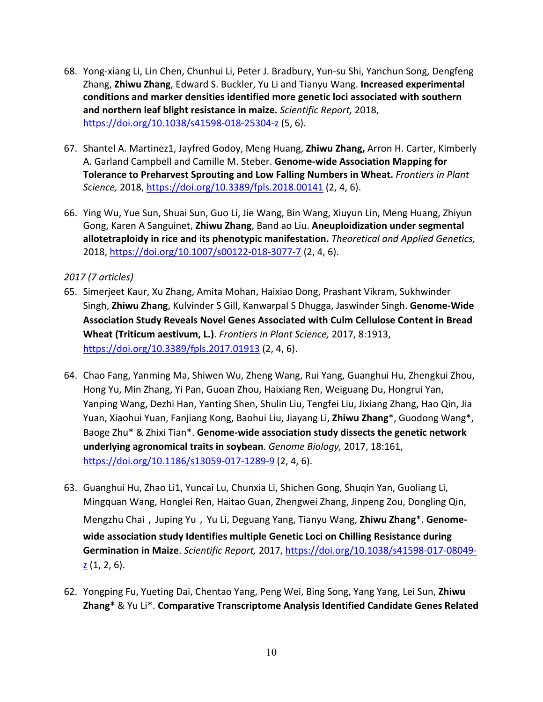- 68. Yong-xiang Li, Lin Chen, Chunhui Li, Peter J. Bradbury, Yun-su Shi, Yanchun Song, Dengfeng Zhang, **Zhiwu Zhang**, Edward S. Buckler, Yu Li and Tianyu Wang. **Increased experimental conditions and marker densities identified more genetic loci associated with southern and northern leaf blight resistance in maize.** *Scientific Report,* 2018, https://doi.org/10.1038/s41598-018-25304-z (5, 6).
- 67. Shantel A. Martinez1, Jayfred Godoy, Meng Huang, **Zhiwu Zhang,** Arron H. Carter, Kimberly A. Garland Campbell and Camille M. Steber. **Genome-wide Association Mapping for Tolerance to Preharvest Sprouting and Low Falling Numbers in Wheat.** *Frontiers in Plant Science,* 2018, https://doi.org/10.3389/fpls.2018.00141 (2, 4, 6).
- 66. Ying Wu, Yue Sun, Shuai Sun, Guo Li, Jie Wang, Bin Wang, Xiuyun Lin, Meng Huang, Zhiyun Gong, Karen A Sanguinet, **Zhiwu Zhang**, Band ao Liu. **Aneuploidization under segmental allotetraploidy in rice and its phenotypic manifestation.** *Theoretical and Applied Genetics,*  2018, https://doi.org/10.1007/s00122-018-3077-7 (2, 4, 6).

# *2017 (7 articles)*

- 65. Simerjeet Kaur, Xu Zhang, Amita Mohan, Haixiao Dong, Prashant Vikram, Sukhwinder Singh, **Zhiwu Zhang**, Kulvinder S Gill, Kanwarpal S Dhugga, Jaswinder Singh. **Genome-Wide Association Study Reveals Novel Genes Associated with Culm Cellulose Content in Bread Wheat (Triticum aestivum, L.)**. *Frontiers in Plant Science,* 2017, 8:1913, https://doi.org/10.3389/fpls.2017.01913 (2, 4, 6).
- 64. Chao Fang, Yanming Ma, Shiwen Wu, Zheng Wang, Rui Yang, Guanghui Hu, Zhengkui Zhou, Hong Yu, Min Zhang, Yi Pan, Guoan Zhou, Haixiang Ren, Weiguang Du, Hongrui Yan, Yanping Wang, Dezhi Han, Yanting Shen, Shulin Liu, Tengfei Liu, Jixiang Zhang, Hao Qin, Jia Yuan, Xiaohui Yuan, Fanjiang Kong, Baohui Liu, Jiayang Li, **Zhiwu Zhang**\*, Guodong Wang\*, Baoge Zhu\* & Zhixi Tian\*. **Genome-wide association study dissects the genetic network underlying agronomical traits in soybean**. *Genome Biology,* 2017, 18:161, https://doi.org/10.1186/s13059-017-1289-9 (2, 4, 6).
- 63. Guanghui Hu, Zhao Li1, Yuncai Lu, Chunxia Li, Shichen Gong, Shuqin Yan, Guoliang Li, Mingquan Wang, Honglei Ren, Haitao Guan, Zhengwei Zhang, Jinpeng Zou, Dongling Qin, Mengzhu Chai, Juping Yu, Yu Li, Deguang Yang, Tianyu Wang, Zhiwu Zhang<sup>\*</sup>. Genome**wide association study Identifies multiple Genetic Loci on Chilling Resistance during Germination in Maize**. *Scientific Report,* 2017, https://doi.org/10.1038/s41598-017-08049-  $\underline{z}$  (1, 2, 6).
- 62. Yongping Fu, Yueting Dai, Chentao Yang, Peng Wei, Bing Song, Yang Yang, Lei Sun, **Zhiwu Zhang\*** & Yu Li\*. **Comparative Transcriptome Analysis Identified Candidate Genes Related**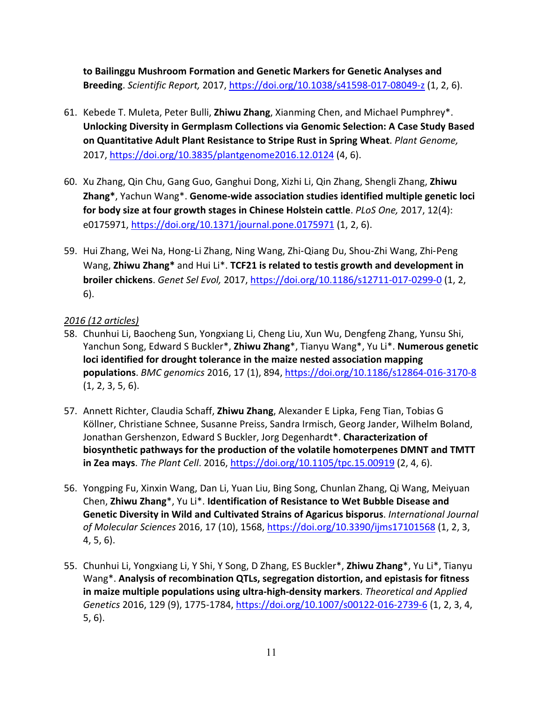**to Bailinggu Mushroom Formation and Genetic Markers for Genetic Analyses and Breeding**. *Scientific Report,* 2017, https://doi.org/10.1038/s41598-017-08049-z (1, 2, 6).

- 61. Kebede T. Muleta, Peter Bulli, **Zhiwu Zhang**, Xianming Chen, and Michael Pumphrey\*. **Unlocking Diversity in Germplasm Collections via Genomic Selection: A Case Study Based on Quantitative Adult Plant Resistance to Stripe Rust in Spring Wheat**. *Plant Genome,*  2017, https://doi.org/10.3835/plantgenome2016.12.0124 (4, 6).
- 60. Xu Zhang, Qin Chu, Gang Guo, Ganghui Dong, Xizhi Li, Qin Zhang, Shengli Zhang, **Zhiwu Zhang\***, Yachun Wang\*. **Genome-wide association studies identified multiple genetic loci for body size at four growth stages in Chinese Holstein cattle**. *PLoS One,* 2017, 12(4): e0175971, https://doi.org/10.1371/journal.pone.0175971 (1, 2, 6).
- 59. Hui Zhang, Wei Na, Hong-Li Zhang, Ning Wang, Zhi-Qiang Du, Shou-Zhi Wang, Zhi-Peng Wang, **Zhiwu Zhang\*** and Hui Li\*. **TCF21 is related to testis growth and development in broiler chickens**. *Genet Sel Evol,* 2017, https://doi.org/10.1186/s12711-017-0299-0 (1, 2, 6).

# *2016 (12 articles)*

- 58. Chunhui Li, Baocheng Sun, Yongxiang Li, Cheng Liu, Xun Wu, Dengfeng Zhang, Yunsu Shi, Yanchun Song, Edward S Buckler\*, **Zhiwu Zhang**\*, Tianyu Wang\*, Yu Li\*. **Numerous genetic loci identified for drought tolerance in the maize nested association mapping populations**. *BMC genomics* 2016, 17 (1), 894, https://doi.org/10.1186/s12864-016-3170-8 (1, 2, 3, 5, 6).
- 57. Annett Richter, Claudia Schaff, **Zhiwu Zhang**, Alexander E Lipka, Feng Tian, Tobias G Köllner, Christiane Schnee, Susanne Preiss, Sandra Irmisch, Georg Jander, Wilhelm Boland, Jonathan Gershenzon, Edward S Buckler, Jorg Degenhardt\*. **Characterization of biosynthetic pathways for the production of the volatile homoterpenes DMNT and TMTT in Zea mays**. *The Plant Cell*. 2016, https://doi.org/10.1105/tpc.15.00919 (2, 4, 6).
- 56. Yongping Fu, Xinxin Wang, Dan Li, Yuan Liu, Bing Song, Chunlan Zhang, Qi Wang, Meiyuan Chen, **Zhiwu Zhang**\*, Yu Li\*. **Identification of Resistance to Wet Bubble Disease and Genetic Diversity in Wild and Cultivated Strains of Agaricus bisporus**. *International Journal of Molecular Sciences* 2016, 17 (10), 1568, https://doi.org/10.3390/ijms17101568 (1, 2, 3, 4, 5, 6).
- 55. Chunhui Li, Yongxiang Li, Y Shi, Y Song, D Zhang, ES Buckler\*, **Zhiwu Zhang**\*, Yu Li\*, Tianyu Wang\*. **Analysis of recombination QTLs, segregation distortion, and epistasis for fitness in maize multiple populations using ultra-high-density markers**. *Theoretical and Applied Genetics* 2016, 129 (9), 1775-1784, https://doi.org/10.1007/s00122-016-2739-6 (1, 2, 3, 4, 5, 6).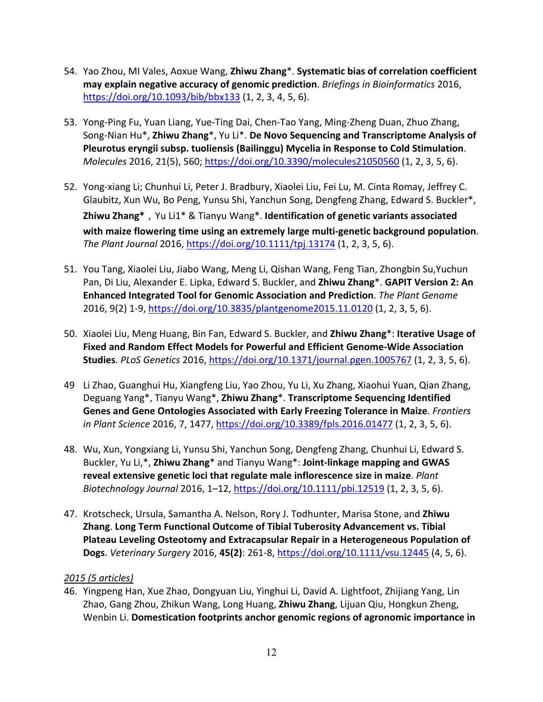- 54. Yao Zhou, MI Vales, Aoxue Wang, **Zhiwu Zhang**\*. **Systematic bias of correlation coefficient may explain negative accuracy of genomic prediction**. *Briefings in Bioinformatics* 2016, https://doi.org/10.1093/bib/bbx133 (1, 2, 3, 4, 5, 6).
- 53. Yong-Ping Fu, Yuan Liang, Yue-Ting Dai, Chen-Tao Yang, Ming-Zheng Duan, Zhuo Zhang, Song-Nian Hu\*, **Zhiwu Zhang**\*, Yu Li\*. **De Novo Sequencing and Transcriptome Analysis of Pleurotus eryngii subsp. tuoliensis (Bailinggu) Mycelia in Response to Cold Stimulation**. *Molecules* 2016, 21(5), 560; https://doi.org/10.3390/molecules21050560 (1, 2, 3, 5, 6).
- 52. Yong-xiang Li; Chunhui Li, Peter J. Bradbury, Xiaolei Liu, Fei Lu, M. Cinta Romay, Jeffrey C. Glaubitz, Xun Wu, Bo Peng, Yunsu Shi, Yanchun Song, Dengfeng Zhang, Edward S. Buckler\*, **Zhiwu Zhang\***,Yu Li1\* & Tianyu Wang\*. **Identification of genetic variants associated with maize flowering time using an extremely large multi-genetic background population**. *The Plant Journal* 2016, https://doi.org/10.1111/tpj.13174 (1, 2, 3, 5, 6).
- 51. You Tang, Xiaolei Liu, Jiabo Wang, Meng Li, Qishan Wang, Feng Tian, Zhongbin Su,Yuchun Pan, Di Liu, Alexander E. Lipka, Edward S. Buckler, and **Zhiwu Zhang**\*. **GAPIT Version 2: An Enhanced Integrated Tool for Genomic Association and Prediction**. *The Plant Genome*  2016, 9(2) 1-9, https://doi.org/10.3835/plantgenome2015.11.0120 (1, 2, 3, 5, 6).
- 50. Xiaolei Liu, Meng Huang, Bin Fan, Edward S. Buckler, and **Zhiwu Zhang**\*: **Iterative Usage of Fixed and Random Effect Models for Powerful and Efficient Genome-Wide Association Studies**. *PLoS Genetics* 2016, https://doi.org/10.1371/journal.pgen.1005767 (1, 2, 3, 5, 6).
- 49 Li Zhao, Guanghui Hu, Xiangfeng Liu, Yao Zhou, Yu Li, Xu Zhang, Xiaohui Yuan, Qian Zhang, Deguang Yang\*, Tianyu Wang\*, **Zhiwu Zhang**\*. **Transcriptome Sequencing Identified Genes and Gene Ontologies Associated with Early Freezing Tolerance in Maize**. *Frontiers in Plant Science* 2016, 7, 1477, https://doi.org/10.3389/fpls.2016.01477 (1, 2, 3, 5, 6).
- 48. Wu, Xun, Yongxiang Li, Yunsu Shi, Yanchun Song, Dengfeng Zhang, Chunhui Li, Edward S. Buckler, Yu Li,\*, **Zhiwu Zhang**\* and Tianyu Wang\*: **Joint-linkage mapping and GWAS reveal extensive genetic loci that regulate male inflorescence size in maize**. *Plant Biotechnology Journal* 2016, 1–12, https://doi.org/10.1111/pbi.12519 (1, 2, 3, 5, 6).
- 47. Krotscheck, Ursula, Samantha A. Nelson, Rory J. Todhunter, Marisa Stone, and **Zhiwu Zhang**. **Long Term Functional Outcome of Tibial Tuberosity Advancement vs. Tibial Plateau Leveling Osteotomy and Extracapsular Repair in a Heterogeneous Population of Dogs**. *Veterinary Surgery* 2016, **45(2)**: 261-8, https://doi.org/10.1111/vsu.12445 (4, 5, 6).

# *2015 (5 articles)*

46. Yingpeng Han, Xue Zhao, Dongyuan Liu, Yinghui Li, David A. Lightfoot, Zhijiang Yang, Lin Zhao, Gang Zhou, Zhikun Wang, Long Huang, **Zhiwu Zhang**, Lijuan Qiu, Hongkun Zheng, Wenbin Li. **Domestication footprints anchor genomic regions of agronomic importance in**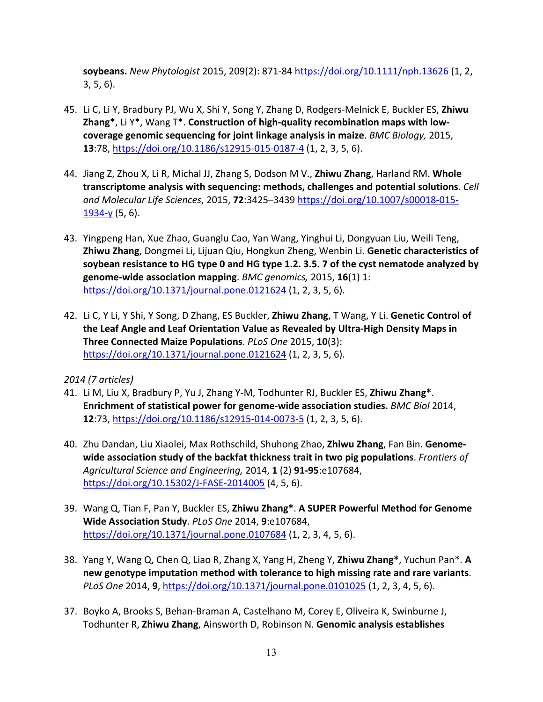**soybeans.** *New Phytologist* 2015, 209(2): 871-84 https://doi.org/10.1111/nph.13626 (1, 2, 3, 5, 6).

- 45. Li C, Li Y, Bradbury PJ, Wu X, Shi Y, Song Y, Zhang D, Rodgers-Melnick E, Buckler ES, **Zhiwu Zhang\***, Li Y\*, Wang T\*. **Construction of high-quality recombination maps with lowcoverage genomic sequencing for joint linkage analysis in maize**. *BMC Biology,* 2015, **13**:78, https://doi.org/10.1186/s12915-015-0187-4 (1, 2, 3, 5, 6).
- 44. Jiang Z, Zhou X, Li R, Michal JJ, Zhang S, Dodson M V., **Zhiwu Zhang**, Harland RM. **Whole transcriptome analysis with sequencing: methods, challenges and potential solutions**. *Cell and Molecular Life Sciences*, 2015, **72**:3425–3439 https://doi.org/10.1007/s00018-015- 1934-y (5, 6).
- 43. Yingpeng Han, Xue Zhao, Guanglu Cao, Yan Wang, Yinghui Li, Dongyuan Liu, Weili Teng, **Zhiwu Zhang**, Dongmei Li, Lijuan Qiu, Hongkun Zheng, Wenbin Li. **Genetic characteristics of soybean resistance to HG type 0 and HG type 1.2. 3.5. 7 of the cyst nematode analyzed by genome-wide association mapping**. *BMC genomics,* 2015, **16**(1) 1: https://doi.org/10.1371/journal.pone.0121624 (1, 2, 3, 5, 6).
- 42. Li C, Y Li, Y Shi, Y Song, D Zhang, ES Buckler, **Zhiwu Zhang**, T Wang, Y Li. **Genetic Control of the Leaf Angle and Leaf Orientation Value as Revealed by Ultra-High Density Maps in Three Connected Maize Populations**. *PLoS One* 2015, **10**(3): https://doi.org/10.1371/journal.pone.0121624 (1, 2, 3, 5, 6).

#### *2014 (7 articles)*

- 41. Li M, Liu X, Bradbury P, Yu J, Zhang Y-M, Todhunter RJ, Buckler ES, **Zhiwu Zhang\***. **Enrichment of statistical power for genome-wide association studies.** *BMC Biol* 2014, **12**:73, https://doi.org/10.1186/s12915-014-0073-5 (1, 2, 3, 5, 6).
- 40. Zhu Dandan, Liu Xiaolei, Max Rothschild, Shuhong Zhao, **Zhiwu Zhang**, Fan Bin. **Genomewide association study of the backfat thickness trait in two pig populations**. *Frontiers of Agricultural Science and Engineering,* 2014, **1** (2) **91-95**:e107684, https://doi.org/10.15302/J-FASE-2014005 (4, 5, 6).
- 39. Wang Q, Tian F, Pan Y, Buckler ES, **Zhiwu Zhang\***. **A SUPER Powerful Method for Genome Wide Association Study**. *PLoS One* 2014, **9**:e107684, https://doi.org/10.1371/journal.pone.0107684 (1, 2, 3, 4, 5, 6).
- 38. Yang Y, Wang Q, Chen Q, Liao R, Zhang X, Yang H, Zheng Y, **Zhiwu Zhang\***, Yuchun Pan\*. **A new genotype imputation method with tolerance to high missing rate and rare variants**. *PLoS One* 2014, **9**, https://doi.org/10.1371/journal.pone.0101025 (1, 2, 3, 4, 5, 6).
- 37. Boyko A, Brooks S, Behan-Braman A, Castelhano M, Corey E, Oliveira K, Swinburne J, Todhunter R, **Zhiwu Zhang**, Ainsworth D, Robinson N. **Genomic analysis establishes**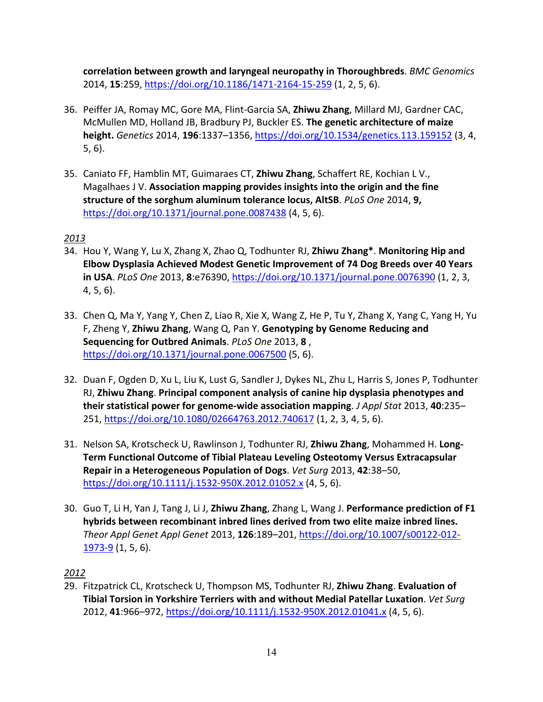**correlation between growth and laryngeal neuropathy in Thoroughbreds**. *BMC Genomics* 2014, **15**:259, https://doi.org/10.1186/1471-2164-15-259 (1, 2, 5, 6).

- 36. Peiffer JA, Romay MC, Gore MA, Flint-Garcia SA, **Zhiwu Zhang**, Millard MJ, Gardner CAC, McMullen MD, Holland JB, Bradbury PJ, Buckler ES. **The genetic architecture of maize height.** *Genetics* 2014, **196**:1337–1356, https://doi.org/10.1534/genetics.113.159152 (3, 4, 5, 6).
- 35. Caniato FF, Hamblin MT, Guimaraes CT, **Zhiwu Zhang**, Schaffert RE, Kochian L V., Magalhaes J V. **Association mapping provides insights into the origin and the fine structure of the sorghum aluminum tolerance locus, AltSB**. *PLoS One* 2014, **9,**  https://doi.org/10.1371/journal.pone.0087438 (4, 5, 6).

# *2013*

- 34. Hou Y, Wang Y, Lu X, Zhang X, Zhao Q, Todhunter RJ, **Zhiwu Zhang\***. **Monitoring Hip and Elbow Dysplasia Achieved Modest Genetic Improvement of 74 Dog Breeds over 40 Years in USA**. *PLoS One* 2013, **8**:e76390, https://doi.org/10.1371/journal.pone.0076390 (1, 2, 3, 4, 5, 6).
- 33. Chen Q, Ma Y, Yang Y, Chen Z, Liao R, Xie X, Wang Z, He P, Tu Y, Zhang X, Yang C, Yang H, Yu F, Zheng Y, **Zhiwu Zhang**, Wang Q, Pan Y. **Genotyping by Genome Reducing and Sequencing for Outbred Animals**. *PLoS One* 2013, **8** , https://doi.org/10.1371/journal.pone.0067500 (5, 6).
- 32. Duan F, Ogden D, Xu L, Liu K, Lust G, Sandler J, Dykes NL, Zhu L, Harris S, Jones P, Todhunter RJ, **Zhiwu Zhang**. **Principal component analysis of canine hip dysplasia phenotypes and their statistical power for genome-wide association mapping**. *J Appl Stat* 2013, **40**:235– 251, https://doi.org/10.1080/02664763.2012.740617 (1, 2, 3, 4, 5, 6).
- 31. Nelson SA, Krotscheck U, Rawlinson J, Todhunter RJ, **Zhiwu Zhang**, Mohammed H. **Long-Term Functional Outcome of Tibial Plateau Leveling Osteotomy Versus Extracapsular Repair in a Heterogeneous Population of Dogs**. *Vet Surg* 2013, **42**:38–50, https://doi.org/10.1111/j.1532-950X.2012.01052.x (4, 5, 6).
- 30. Guo T, Li H, Yan J, Tang J, Li J, **Zhiwu Zhang**, Zhang L, Wang J. **Performance prediction of F1 hybrids between recombinant inbred lines derived from two elite maize inbred lines.** *Theor Appl Genet Appl Genet* 2013, **126**:189–201, https://doi.org/10.1007/s00122-012- 1973-9 (1, 5, 6).

# *2012*

29. Fitzpatrick CL, Krotscheck U, Thompson MS, Todhunter RJ, **Zhiwu Zhang**. **Evaluation of Tibial Torsion in Yorkshire Terriers with and without Medial Patellar Luxation**. *Vet Surg* 2012, **41**:966–972, https://doi.org/10.1111/j.1532-950X.2012.01041.x (4, 5, 6).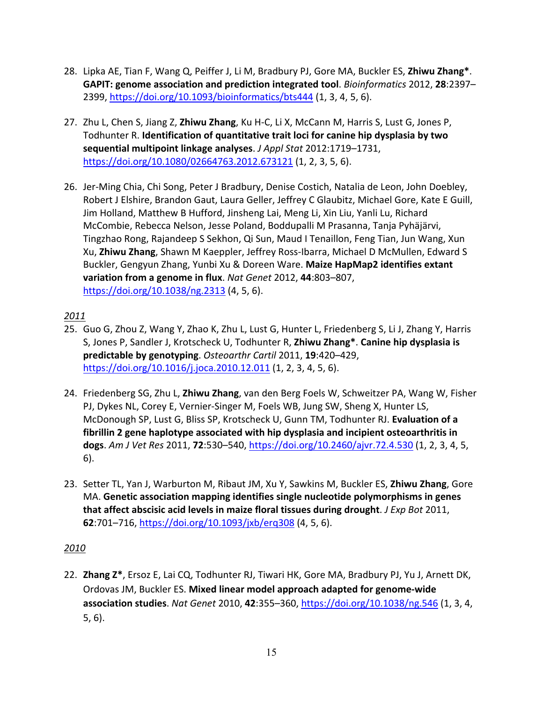- 28. Lipka AE, Tian F, Wang Q, Peiffer J, Li M, Bradbury PJ, Gore MA, Buckler ES, **Zhiwu Zhang\***. **GAPIT: genome association and prediction integrated tool**. *Bioinformatics* 2012, **28**:2397– 2399, https://doi.org/10.1093/bioinformatics/bts444 (1, 3, 4, 5, 6).
- 27. Zhu L, Chen S, Jiang Z, **Zhiwu Zhang**, Ku H-C, Li X, McCann M, Harris S, Lust G, Jones P, Todhunter R. **Identification of quantitative trait loci for canine hip dysplasia by two sequential multipoint linkage analyses**. *J Appl Stat* 2012:1719–1731, https://doi.org/10.1080/02664763.2012.673121 (1, 2, 3, 5, 6).
- 26. Jer-Ming Chia, Chi Song, Peter J Bradbury, Denise Costich, Natalia de Leon, John Doebley, Robert J Elshire, Brandon Gaut, Laura Geller, Jeffrey C Glaubitz, Michael Gore, Kate E Guill, Jim Holland, Matthew B Hufford, Jinsheng Lai, Meng Li, Xin Liu, Yanli Lu, Richard McCombie, Rebecca Nelson, Jesse Poland, Boddupalli M Prasanna, Tanja Pyhäjärvi, Tingzhao Rong, Rajandeep S Sekhon, Qi Sun, Maud I Tenaillon, Feng Tian, Jun Wang, Xun Xu, **Zhiwu Zhang**, Shawn M Kaeppler, Jeffrey Ross-Ibarra, Michael D McMullen, Edward S Buckler, Gengyun Zhang, Yunbi Xu & Doreen Ware. **Maize HapMap2 identifies extant variation from a genome in flux**. *Nat Genet* 2012, **44**:803–807, https://doi.org/10.1038/ng.2313 (4, 5, 6).

# *2011*

- 25. Guo G, Zhou Z, Wang Y, Zhao K, Zhu L, Lust G, Hunter L, Friedenberg S, Li J, Zhang Y, Harris S, Jones P, Sandler J, Krotscheck U, Todhunter R, **Zhiwu Zhang\***. **Canine hip dysplasia is predictable by genotyping**. *Osteoarthr Cartil* 2011, **19**:420–429, https://doi.org/10.1016/j.joca.2010.12.011 (1, 2, 3, 4, 5, 6).
- 24. Friedenberg SG, Zhu L, **Zhiwu Zhang**, van den Berg Foels W, Schweitzer PA, Wang W, Fisher PJ, Dykes NL, Corey E, Vernier-Singer M, Foels WB, Jung SW, Sheng X, Hunter LS, McDonough SP, Lust G, Bliss SP, Krotscheck U, Gunn TM, Todhunter RJ. **Evaluation of a fibrillin 2 gene haplotype associated with hip dysplasia and incipient osteoarthritis in dogs**. *Am J Vet Res* 2011, **72**:530–540, https://doi.org/10.2460/ajvr.72.4.530 (1, 2, 3, 4, 5, 6).
- 23. Setter TL, Yan J, Warburton M, Ribaut JM, Xu Y, Sawkins M, Buckler ES, **Zhiwu Zhang**, Gore MA. **Genetic association mapping identifies single nucleotide polymorphisms in genes that affect abscisic acid levels in maize floral tissues during drought**. *J Exp Bot* 2011, **62**:701–716, https://doi.org/10.1093/jxb/erq308 (4, 5, 6).

# *2010*

22. **Zhang Z\***, Ersoz E, Lai CQ, Todhunter RJ, Tiwari HK, Gore MA, Bradbury PJ, Yu J, Arnett DK, Ordovas JM, Buckler ES. **Mixed linear model approach adapted for genome-wide association studies**. *Nat Genet* 2010, **42**:355–360, https://doi.org/10.1038/ng.546 (1, 3, 4, 5, 6).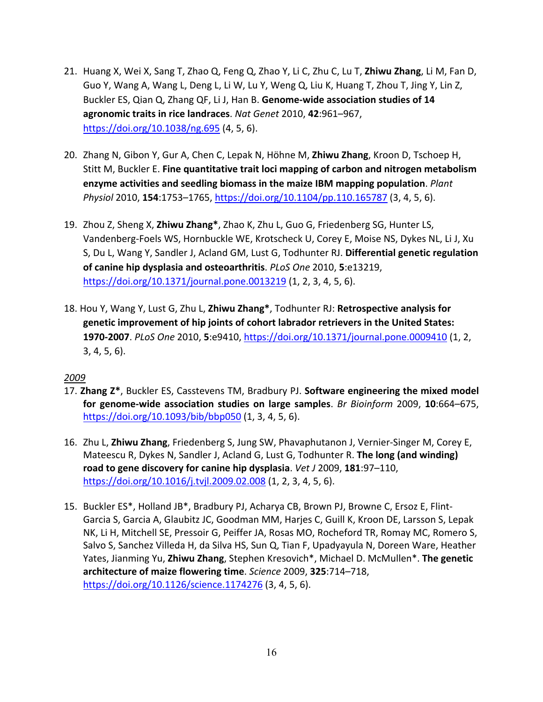- 21. Huang X, Wei X, Sang T, Zhao Q, Feng Q, Zhao Y, Li C, Zhu C, Lu T, **Zhiwu Zhang**, Li M, Fan D, Guo Y, Wang A, Wang L, Deng L, Li W, Lu Y, Weng Q, Liu K, Huang T, Zhou T, Jing Y, Lin Z, Buckler ES, Qian Q, Zhang QF, Li J, Han B. **Genome-wide association studies of 14 agronomic traits in rice landraces**. *Nat Genet* 2010, **42**:961–967, https://doi.org/10.1038/ng.695 (4, 5, 6).
- 20. Zhang N, Gibon Y, Gur A, Chen C, Lepak N, Höhne M, **Zhiwu Zhang**, Kroon D, Tschoep H, Stitt M, Buckler E. **Fine quantitative trait loci mapping of carbon and nitrogen metabolism enzyme activities and seedling biomass in the maize IBM mapping population**. *Plant Physiol* 2010, **154**:1753–1765, https://doi.org/10.1104/pp.110.165787 (3, 4, 5, 6).
- 19. Zhou Z, Sheng X, **Zhiwu Zhang\***, Zhao K, Zhu L, Guo G, Friedenberg SG, Hunter LS, Vandenberg-Foels WS, Hornbuckle WE, Krotscheck U, Corey E, Moise NS, Dykes NL, Li J, Xu S, Du L, Wang Y, Sandler J, Acland GM, Lust G, Todhunter RJ. **Differential genetic regulation of canine hip dysplasia and osteoarthritis**. *PLoS One* 2010, **5**:e13219, https://doi.org/10.1371/journal.pone.0013219 (1, 2, 3, 4, 5, 6).
- 18. Hou Y, Wang Y, Lust G, Zhu L, **Zhiwu Zhang\***, Todhunter RJ: **Retrospective analysis for genetic improvement of hip joints of cohort labrador retrievers in the United States: 1970-2007**. *PLoS One* 2010, **5**:e9410, https://doi.org/10.1371/journal.pone.0009410 (1, 2, 3, 4, 5, 6).

# *2009*

- 17. **Zhang Z\***, Buckler ES, Casstevens TM, Bradbury PJ. **Software engineering the mixed model for genome-wide association studies on large samples**. *Br Bioinform* 2009, **10**:664–675, https://doi.org/10.1093/bib/bbp050 (1, 3, 4, 5, 6).
- 16. Zhu L, **Zhiwu Zhang**, Friedenberg S, Jung SW, Phavaphutanon J, Vernier-Singer M, Corey E, Mateescu R, Dykes N, Sandler J, Acland G, Lust G, Todhunter R. **The long (and winding) road to gene discovery for canine hip dysplasia**. *Vet J* 2009, **181**:97–110, https://doi.org/10.1016/j.tvjl.2009.02.008 (1, 2, 3, 4, 5, 6).
- 15. Buckler ES\*, Holland JB\*, Bradbury PJ, Acharya CB, Brown PJ, Browne C, Ersoz E, Flint-Garcia S, Garcia A, Glaubitz JC, Goodman MM, Harjes C, Guill K, Kroon DE, Larsson S, Lepak NK, Li H, Mitchell SE, Pressoir G, Peiffer JA, Rosas MO, Rocheford TR, Romay MC, Romero S, Salvo S, Sanchez Villeda H, da Silva HS, Sun Q, Tian F, Upadyayula N, Doreen Ware, Heather Yates, Jianming Yu, **Zhiwu Zhang**, Stephen Kresovich\*, Michael D. McMullen\*. **The genetic architecture of maize flowering time**. *Science* 2009, **325**:714–718, https://doi.org/10.1126/science.1174276 (3, 4, 5, 6).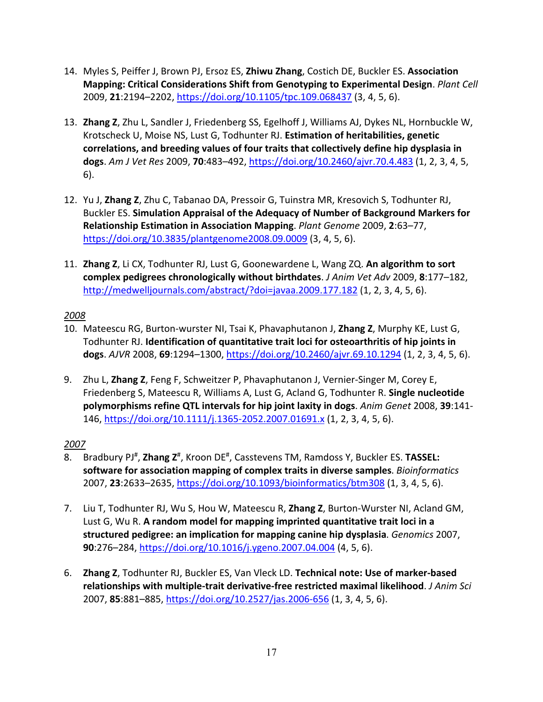- 14. Myles S, Peiffer J, Brown PJ, Ersoz ES, **Zhiwu Zhang**, Costich DE, Buckler ES. **Association Mapping: Critical Considerations Shift from Genotyping to Experimental Design**. *Plant Cell* 2009, **21**:2194–2202, https://doi.org/10.1105/tpc.109.068437 (3, 4, 5, 6).
- 13. **Zhang Z**, Zhu L, Sandler J, Friedenberg SS, Egelhoff J, Williams AJ, Dykes NL, Hornbuckle W, Krotscheck U, Moise NS, Lust G, Todhunter RJ. **Estimation of heritabilities, genetic correlations, and breeding values of four traits that collectively define hip dysplasia in dogs**. *Am J Vet Res* 2009, **70**:483–492, https://doi.org/10.2460/ajvr.70.4.483 (1, 2, 3, 4, 5, 6).
- 12. Yu J, **Zhang Z**, Zhu C, Tabanao DA, Pressoir G, Tuinstra MR, Kresovich S, Todhunter RJ, Buckler ES. **Simulation Appraisal of the Adequacy of Number of Background Markers for Relationship Estimation in Association Mapping**. *Plant Genome* 2009, **2**:63–77, https://doi.org/10.3835/plantgenome2008.09.0009 (3, 4, 5, 6).
- 11. **Zhang Z**, Li CX, Todhunter RJ, Lust G, Goonewardene L, Wang ZQ. **An algorithm to sort complex pedigrees chronologically without birthdates**. *J Anim Vet Adv* 2009, **8**:177–182, http://medwelljournals.com/abstract/?doi=javaa.2009.177.182 (1, 2, 3, 4, 5, 6).

# *2008*

- 10. Mateescu RG, Burton-wurster NI, Tsai K, Phavaphutanon J, **Zhang Z**, Murphy KE, Lust G, Todhunter RJ. **Identification of quantitative trait loci for osteoarthritis of hip joints in dogs**. *AJVR* 2008, **69**:1294–1300, https://doi.org/10.2460/ajvr.69.10.1294 (1, 2, 3, 4, 5, 6).
- 9. Zhu L, **Zhang Z**, Feng F, Schweitzer P, Phavaphutanon J, Vernier-Singer M, Corey E, Friedenberg S, Mateescu R, Williams A, Lust G, Acland G, Todhunter R. **Single nucleotide polymorphisms refine QTL intervals for hip joint laxity in dogs**. *Anim Genet* 2008, **39**:141- 146, https://doi.org/10.1111/j.1365-2052.2007.01691.x (1, 2, 3, 4, 5, 6).

# *2007*

- 8. Bradbury PJ<sup>#</sup>, Zhang Z<sup>#</sup>, Kroon DE<sup>#</sup>, Casstevens TM, Ramdoss Y, Buckler ES. TASSEL: **software for association mapping of complex traits in diverse samples**. *Bioinformatics* 2007, **23**:2633–2635, https://doi.org/10.1093/bioinformatics/btm308 (1, 3, 4, 5, 6).
- 7. Liu T, Todhunter RJ, Wu S, Hou W, Mateescu R, **Zhang Z**, Burton-Wurster NI, Acland GM, Lust G, Wu R. **A random model for mapping imprinted quantitative trait loci in a structured pedigree: an implication for mapping canine hip dysplasia**. *Genomics* 2007, **90**:276–284, https://doi.org/10.1016/j.ygeno.2007.04.004 (4, 5, 6).
- 6. **Zhang Z**, Todhunter RJ, Buckler ES, Van Vleck LD. **Technical note: Use of marker-based relationships with multiple-trait derivative-free restricted maximal likelihood**. *J Anim Sci* 2007, **85**:881–885, https://doi.org/10.2527/jas.2006-656 (1, 3, 4, 5, 6).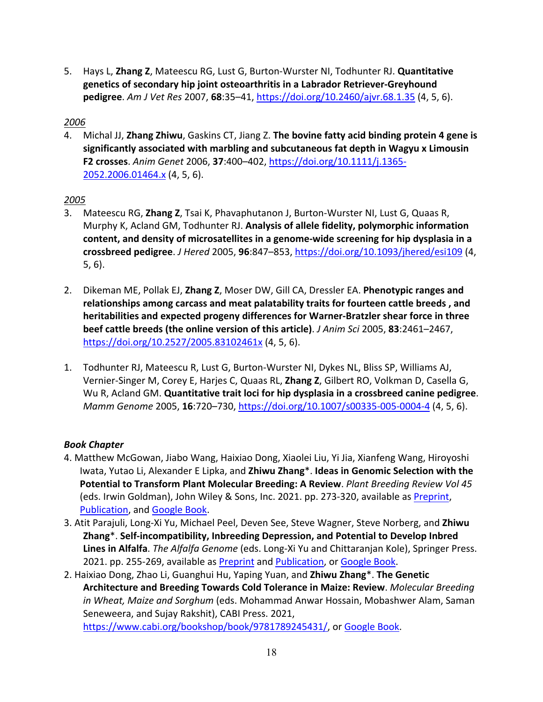5. Hays L, **Zhang Z**, Mateescu RG, Lust G, Burton-Wurster NI, Todhunter RJ. **Quantitative genetics of secondary hip joint osteoarthritis in a Labrador Retriever-Greyhound pedigree**. *Am J Vet Res* 2007, **68**:35–41, https://doi.org/10.2460/ajvr.68.1.35 (4, 5, 6).

# *2006*

4. Michal JJ, **Zhang Zhiwu**, Gaskins CT, Jiang Z. **The bovine fatty acid binding protein 4 gene is significantly associated with marbling and subcutaneous fat depth in Wagyu x Limousin F2 crosses**. *Anim Genet* 2006, **37**:400–402, https://doi.org/10.1111/j.1365- 2052.2006.01464.x (4, 5, 6).

# *2005*

- 3. Mateescu RG, **Zhang Z**, Tsai K, Phavaphutanon J, Burton-Wurster NI, Lust G, Quaas R, Murphy K, Acland GM, Todhunter RJ. **Analysis of allele fidelity, polymorphic information content, and density of microsatellites in a genome-wide screening for hip dysplasia in a crossbreed pedigree**. *J Hered* 2005, **96**:847–853, https://doi.org/10.1093/jhered/esi109 (4, 5, 6).
- 2. Dikeman ME, Pollak EJ, **Zhang Z**, Moser DW, Gill CA, Dressler EA. **Phenotypic ranges and relationships among carcass and meat palatability traits for fourteen cattle breeds , and heritabilities and expected progeny differences for Warner-Bratzler shear force in three beef cattle breeds (the online version of this article)**. *J Anim Sci* 2005, **83**:2461–2467, https://doi.org/10.2527/2005.83102461x (4, 5, 6).
- 1. Todhunter RJ, Mateescu R, Lust G, Burton-Wurster NI, Dykes NL, Bliss SP, Williams AJ, Vernier-Singer M, Corey E, Harjes C, Quaas RL, **Zhang Z**, Gilbert RO, Volkman D, Casella G, Wu R, Acland GM. **Quantitative trait loci for hip dysplasia in a crossbreed canine pedigree**. *Mamm Genome* 2005, **16**:720–730, https://doi.org/10.1007/s00335-005-0004-4 (4, 5, 6).

# *Book Chapter*

- 4. Matthew McGowan, Jiabo Wang, Haixiao Dong, Xiaolei Liu, Yi Jia, Xianfeng Wang, Hiroyoshi Iwata, Yutao Li, Alexander E Lipka, and **Zhiwu Zhang**\*. **Ideas in Genomic Selection with the Potential to Transform Plant Molecular Breeding: A Review**. *Plant Breeding Review Vol 45* (eds. Irwin Goldman), John Wiley & Sons, Inc. 2021. pp. 273-320, available as Preprint, Publication, and Google Book.
- 3. Atit Parajuli, Long-Xi Yu, Michael Peel, Deven See, Steve Wagner, Steve Norberg, and **Zhiwu Zhang**\*. **Self-incompatibility, Inbreeding Depression, and Potential to Develop Inbred Lines in Alfalfa**. *The Alfalfa Genome* (eds. Long-Xi Yu and Chittaranjan Kole), Springer Press. 2021. pp. 255-269, available as Preprint and Publication, or Google Book.
- 2. Haixiao Dong, Zhao Li, Guanghui Hu, Yaping Yuan, and **Zhiwu Zhang**\*. **The Genetic Architecture and Breeding Towards Cold Tolerance in Maize: Review**. *Molecular Breeding in Wheat, Maize and Sorghum* (eds. Mohammad Anwar Hossain, Mobashwer Alam, Saman Seneweera, and Sujay Rakshit), CABI Press. 2021, https://www.cabi.org/bookshop/book/9781789245431/, or Google Book.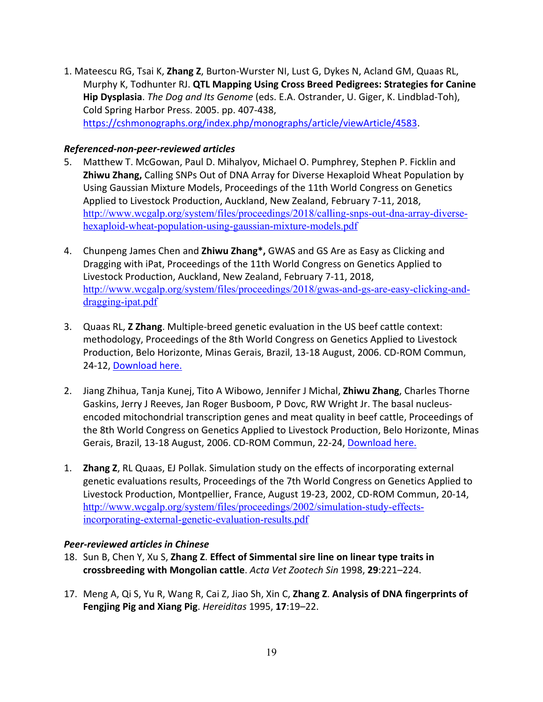1. Mateescu RG, Tsai K, **Zhang Z**, Burton-Wurster NI, Lust G, Dykes N, Acland GM, Quaas RL, Murphy K, Todhunter RJ. **QTL Mapping Using Cross Breed Pedigrees: Strategies for Canine Hip Dysplasia**. *The Dog and Its Genome* (eds. E.A. Ostrander, U. Giger, K. Lindblad-Toh), Cold Spring Harbor Press. 2005. pp. 407-438, https://cshmonographs.org/index.php/monographs/article/viewArticle/4583.

#### *Referenced-non-peer-reviewed articles*

- 5. Matthew T. McGowan, Paul D. Mihalyov, Michael O. Pumphrey, Stephen P. Ficklin and **Zhiwu Zhang,** Calling SNPs Out of DNA Array for Diverse Hexaploid Wheat Population by Using Gaussian Mixture Models, Proceedings of the 11th World Congress on Genetics Applied to Livestock Production, Auckland, New Zealand, February 7-11, 2018, http://www.wcgalp.org/system/files/proceedings/2018/calling-snps-out-dna-array-diversehexaploid-wheat-population-using-gaussian-mixture-models.pdf
- 4. Chunpeng James Chen and **Zhiwu Zhang\*,** GWAS and GS Are as Easy as Clicking and Dragging with iPat, Proceedings of the 11th World Congress on Genetics Applied to Livestock Production, Auckland, New Zealand, February 7-11, 2018, http://www.wcgalp.org/system/files/proceedings/2018/gwas-and-gs-are-easy-clicking-anddragging-ipat.pdf
- 3. Quaas RL, **Z Zhang**. Multiple-breed genetic evaluation in the US beef cattle context: methodology, Proceedings of the 8th World Congress on Genetics Applied to Livestock Production, Belo Horizonte, Minas Gerais, Brazil, 13-18 August, 2006. CD-ROM Commun, 24-12, Download here.
- 2. Jiang Zhihua, Tanja Kunej, Tito A Wibowo, Jennifer J Michal, **Zhiwu Zhang**, Charles Thorne Gaskins, Jerry J Reeves, Jan Roger Busboom, P Dovc, RW Wright Jr. The basal nucleusencoded mitochondrial transcription genes and meat quality in beef cattle, Proceedings of the 8th World Congress on Genetics Applied to Livestock Production, Belo Horizonte, Minas Gerais, Brazil, 13-18 August, 2006. CD-ROM Commun, 22-24, Download here.
- 1. **Zhang Z**, RL Quaas, EJ Pollak. Simulation study on the effects of incorporating external genetic evaluations results, Proceedings of the 7th World Congress on Genetics Applied to Livestock Production, Montpellier, France, August 19-23, 2002, CD-ROM Commun, 20-14, http://www.wcgalp.org/system/files/proceedings/2002/simulation-study-effectsincorporating-external-genetic-evaluation-results.pdf

# *Peer-reviewed articles in Chinese*

- 18. Sun B, Chen Y, Xu S, **Zhang Z**. **Effect of Simmental sire line on linear type traits in crossbreeding with Mongolian cattle**. *Acta Vet Zootech Sin* 1998, **29**:221–224.
- 17. Meng A, Qi S, Yu R, Wang R, Cai Z, Jiao Sh, Xin C, **Zhang Z**. **Analysis of DNA fingerprints of Fengjing Pig and Xiang Pig**. *Hereiditas* 1995, **17**:19–22.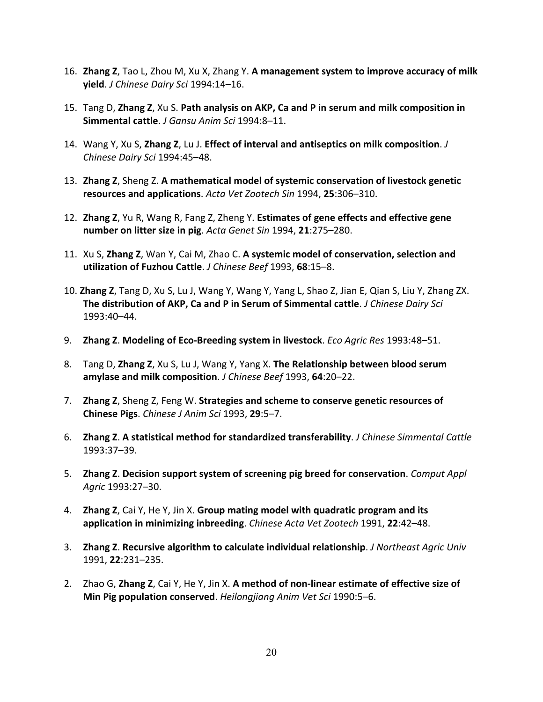- 16. **Zhang Z**, Tao L, Zhou M, Xu X, Zhang Y. **A management system to improve accuracy of milk yield**. *J Chinese Dairy Sci* 1994:14–16.
- 15. Tang D, **Zhang Z**, Xu S. **Path analysis on AKP, Ca and P in serum and milk composition in Simmental cattle**. *J Gansu Anim Sci* 1994:8–11.
- 14. Wang Y, Xu S, **Zhang Z**, Lu J. **Effect of interval and antiseptics on milk composition**. *J Chinese Dairy Sci* 1994:45–48.
- 13. **Zhang Z**, Sheng Z. **A mathematical model of systemic conservation of livestock genetic resources and applications**. *Acta Vet Zootech Sin* 1994, **25**:306–310.
- 12. **Zhang Z**, Yu R, Wang R, Fang Z, Zheng Y. **Estimates of gene effects and effective gene number on litter size in pig**. *Acta Genet Sin* 1994, **21**:275–280.
- 11. Xu S, **Zhang Z**, Wan Y, Cai M, Zhao C. **A systemic model of conservation, selection and utilization of Fuzhou Cattle**. *J Chinese Beef* 1993, **68**:15–8.
- 10. **Zhang Z**, Tang D, Xu S, Lu J, Wang Y, Wang Y, Yang L, Shao Z, Jian E, Qian S, Liu Y, Zhang ZX. **The distribution of AKP, Ca and P in Serum of Simmental cattle**. *J Chinese Dairy Sci* 1993:40–44.
- 9. **Zhang Z**. **Modeling of Eco-Breeding system in livestock**. *Eco Agric Res* 1993:48–51.
- 8. Tang D, **Zhang Z**, Xu S, Lu J, Wang Y, Yang X. **The Relationship between blood serum amylase and milk composition**. *J Chinese Beef* 1993, **64**:20–22.
- 7. **Zhang Z**, Sheng Z, Feng W. **Strategies and scheme to conserve genetic resources of Chinese Pigs**. *Chinese J Anim Sci* 1993, **29**:5–7.
- 6. **Zhang Z**. **A statistical method for standardized transferability**. *J Chinese Simmental Cattle* 1993:37–39.
- 5. **Zhang Z**. **Decision support system of screening pig breed for conservation**. *Comput Appl Agric* 1993:27–30.
- 4. **Zhang Z**, Cai Y, He Y, Jin X. **Group mating model with quadratic program and its application in minimizing inbreeding**. *Chinese Acta Vet Zootech* 1991, **22**:42–48.
- 3. **Zhang Z**. **Recursive algorithm to calculate individual relationship**. *J Northeast Agric Univ* 1991, **22**:231–235.
- 2. Zhao G, **Zhang Z**, Cai Y, He Y, Jin X. **A method of non-linear estimate of effective size of Min Pig population conserved**. *Heilongjiang Anim Vet Sci* 1990:5–6.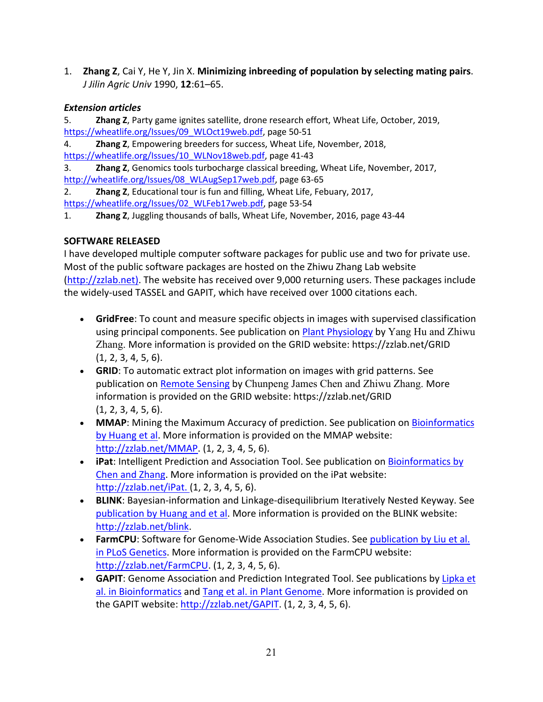1. **Zhang Z**, Cai Y, He Y, Jin X. **Minimizing inbreeding of population by selecting mating pairs**. *J Jilin Agric Univ* 1990, **12**:61–65.

# *Extension articles*

5. **Zhang Z**, Party game ignites satellite, drone research effort, Wheat Life, October, 2019, https://wheatlife.org/Issues/09\_WLOct19web.pdf, page 50-51

4. **Zhang Z**, Empowering breeders for success, Wheat Life, November, 2018,

https://wheatlife.org/Issues/10\_WLNov18web.pdf, page 41-43

3. **Zhang Z**, Genomics tools turbocharge classical breeding, Wheat Life, November, 2017, http://wheatlife.org/Issues/08\_WLAugSep17web.pdf, page 63-65

2. **Zhang Z**, Educational tour is fun and filling, Wheat Life, Febuary, 2017,

https://wheatlife.org/Issues/02\_WLFeb17web.pdf, page 53-54

1. **Zhang Z**, Juggling thousands of balls, Wheat Life, November, 2016, page 43-44

# **SOFTWARE RELEASED**

I have developed multiple computer software packages for public use and two for private use. Most of the public software packages are hosted on the Zhiwu Zhang Lab website (http://zzlab.net). The website has received over 9,000 returning users. These packages include the widely-used TASSEL and GAPIT, which have received over 1000 citations each.

- **GridFree**: To count and measure specific objects in images with supervised classification using principal components. See publication on Plant Physiology by Yang Hu and Zhiwu Zhang. More information is provided on the GRID website: https://zzlab.net/GRID (1, 2, 3, 4, 5, 6).
- **GRID**: To automatic extract plot information on images with grid patterns. See publication on Remote Sensing by Chunpeng James Chen and Zhiwu Zhang. More information is provided on the GRID website: https://zzlab.net/GRID (1, 2, 3, 4, 5, 6).
- **MMAP**: Mining the Maximum Accuracy of prediction. See publication on Bioinformatics by Huang et al. More information is provided on the MMAP website: http://zzlab.net/MMAP. (1, 2, 3, 4, 5, 6).
- **iPat**: Intelligent Prediction and Association Tool. See publication on Bioinformatics by Chen and Zhang. More information is provided on the iPat website: http://zzlab.net/iPat. (1, 2, 3, 4, 5, 6).
- **BLINK**: Bayesian-information and Linkage-disequilibrium Iteratively Nested Keyway. See publication by Huang and et al. More information is provided on the BLINK website: http://zzlab.net/blink.
- **FarmCPU**: Software for Genome-Wide Association Studies. See publication by Liu et al. in PLoS Genetics. More information is provided on the FarmCPU website: http://zzlab.net/FarmCPU. (1, 2, 3, 4, 5, 6).
- **GAPIT**: Genome Association and Prediction Integrated Tool. See publications by Lipka et al. in Bioinformatics and Tang et al. in Plant Genome. More information is provided on the GAPIT website: http://zzlab.net/GAPIT. (1, 2, 3, 4, 5, 6).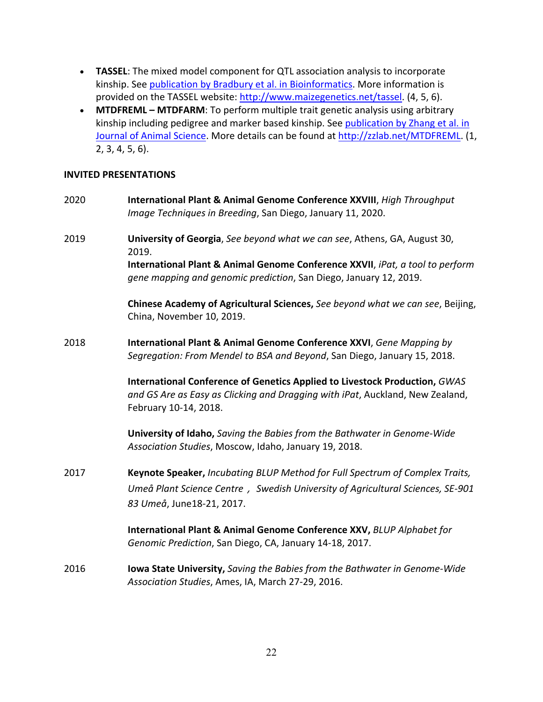- **TASSEL**: The mixed model component for QTL association analysis to incorporate kinship. See publication by Bradbury et al. in Bioinformatics. More information is provided on the TASSEL website: http://www.maizegenetics.net/tassel. (4, 5, 6).
- **MTDFREML – MTDFARM**: To perform multiple trait genetic analysis using arbitrary kinship including pedigree and marker based kinship. See publication by Zhang et al. in Journal of Animal Science. More details can be found at http://zzlab.net/MTDFREML. (1, 2, 3, 4, 5, 6).

#### **INVITED PRESENTATIONS**

| 2020 | International Plant & Animal Genome Conference XXVIII, High Throughput<br>Image Techniques in Breeding, San Diego, January 11, 2020.                                                 |
|------|--------------------------------------------------------------------------------------------------------------------------------------------------------------------------------------|
| 2019 | University of Georgia, See beyond what we can see, Athens, GA, August 30,<br>2019.                                                                                                   |
|      | International Plant & Animal Genome Conference XXVII, iPat, a tool to perform<br>gene mapping and genomic prediction, San Diego, January 12, 2019.                                   |
|      | Chinese Academy of Agricultural Sciences, See beyond what we can see, Beijing,<br>China, November 10, 2019.                                                                          |
| 2018 | International Plant & Animal Genome Conference XXVI, Gene Mapping by<br>Segregation: From Mendel to BSA and Beyond, San Diego, January 15, 2018.                                     |
|      | International Conference of Genetics Applied to Livestock Production, GWAS<br>and GS Are as Easy as Clicking and Dragging with iPat, Auckland, New Zealand,<br>February 10-14, 2018. |
|      | University of Idaho, Saving the Babies from the Bathwater in Genome-Wide<br>Association Studies, Moscow, Idaho, January 19, 2018.                                                    |
| 2017 | Keynote Speaker, Incubating BLUP Method for Full Spectrum of Complex Traits,                                                                                                         |
|      | Umeå Plant Science Centre, Swedish University of Agricultural Sciences, SE-901                                                                                                       |
|      | 83 Umeå, June18-21, 2017.                                                                                                                                                            |
|      | International Plant & Animal Genome Conference XXV, BLUP Alphabet for<br>Genomic Prediction, San Diego, CA, January 14-18, 2017.                                                     |
| 2016 | <b>Iowa State University, Saving the Babies from the Bathwater in Genome-Wide</b><br>Association Studies, Ames, IA, March 27-29, 2016.                                               |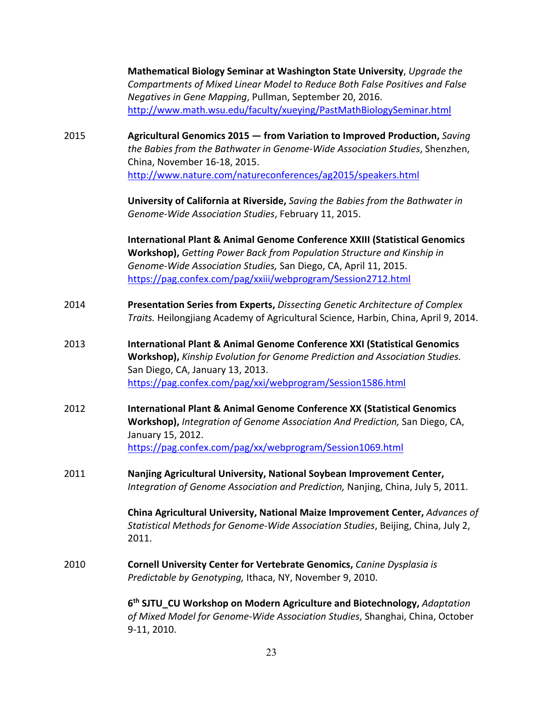|      | Mathematical Biology Seminar at Washington State University, Upgrade the<br>Compartments of Mixed Linear Model to Reduce Both False Positives and False<br>Negatives in Gene Mapping, Pullman, September 20, 2016.<br>http://www.math.wsu.edu/faculty/xueying/PastMathBiologySeminar.html          |
|------|----------------------------------------------------------------------------------------------------------------------------------------------------------------------------------------------------------------------------------------------------------------------------------------------------|
| 2015 | Agricultural Genomics 2015 - from Variation to Improved Production, Saving<br>the Babies from the Bathwater in Genome-Wide Association Studies, Shenzhen,<br>China, November 16-18, 2015.<br>http://www.nature.com/natureconferences/ag2015/speakers.html                                          |
|      | University of California at Riverside, Saving the Babies from the Bathwater in<br>Genome-Wide Association Studies, February 11, 2015.                                                                                                                                                              |
|      | <b>International Plant &amp; Animal Genome Conference XXIII (Statistical Genomics</b><br>Workshop), Getting Power Back from Population Structure and Kinship in<br>Genome-Wide Association Studies, San Diego, CA, April 11, 2015.<br>https://pag.confex.com/pag/xxiii/webprogram/Session2712.html |
| 2014 | Presentation Series from Experts, Dissecting Genetic Architecture of Complex<br>Traits. Heilongjiang Academy of Agricultural Science, Harbin, China, April 9, 2014.                                                                                                                                |
| 2013 | <b>International Plant &amp; Animal Genome Conference XXI (Statistical Genomics</b><br>Workshop), Kinship Evolution for Genome Prediction and Association Studies.<br>San Diego, CA, January 13, 2013.<br>https://pag.confex.com/pag/xxi/webprogram/Session1586.html                               |
| 2012 | <b>International Plant &amp; Animal Genome Conference XX (Statistical Genomics</b><br>Workshop), Integration of Genome Association And Prediction, San Diego, CA,<br>January 15, 2012.<br>https://pag.confex.com/pag/xx/webprogram/Session1069.html                                                |
| 2011 | Nanjing Agricultural University, National Soybean Improvement Center,<br>Integration of Genome Association and Prediction, Nanjing, China, July 5, 2011.                                                                                                                                           |
|      | China Agricultural University, National Maize Improvement Center, Advances of<br>Statistical Methods for Genome-Wide Association Studies, Beijing, China, July 2,<br>2011.                                                                                                                         |
| 2010 | Cornell University Center for Vertebrate Genomics, Canine Dysplasia is<br>Predictable by Genotyping, Ithaca, NY, November 9, 2010.                                                                                                                                                                 |
|      | 6 <sup>th</sup> SJTU_CU Workshop on Modern Agriculture and Biotechnology, Adaptation<br>of Mixed Model for Genome-Wide Association Studies, Shanghai, China, October<br>9-11, 2010.                                                                                                                |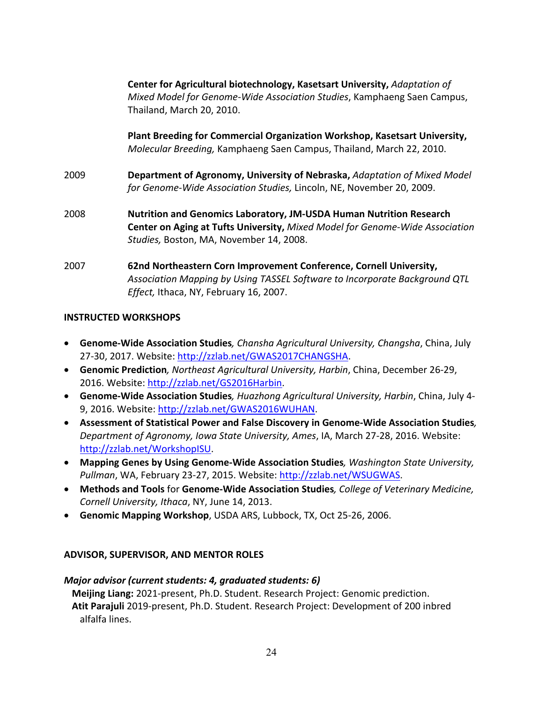**Center for Agricultural biotechnology, Kasetsart University,** *Adaptation of Mixed Model for Genome-Wide Association Studies*, Kamphaeng Saen Campus, Thailand, March 20, 2010.

**Plant Breeding for Commercial Organization Workshop, Kasetsart University,**  *Molecular Breeding,* Kamphaeng Saen Campus, Thailand, March 22, 2010.

- 2009 **Department of Agronomy, University of Nebraska,** *Adaptation of Mixed Model for Genome-Wide Association Studies,* Lincoln, NE, November 20, 2009.
- 2008 **Nutrition and Genomics Laboratory, JM-USDA Human Nutrition Research Center on Aging at Tufts University,** *Mixed Model for Genome-Wide Association Studies,* Boston, MA, November 14, 2008.
- 2007 **62nd Northeastern Corn Improvement Conference, Cornell University,**  *Association Mapping by Using TASSEL Software to Incorporate Background QTL Effect,* Ithaca, NY, February 16, 2007.

# **INSTRUCTED WORKSHOPS**

- **Genome-Wide Association Studies***, Chansha Agricultural University, Changsha*, China, July 27-30, 2017. Website: http://zzlab.net/GWAS2017CHANGSHA.
- **Genomic Prediction***, Northeast Agricultural University, Harbin*, China, December 26-29, 2016. Website: http://zzlab.net/GS2016Harbin.
- **Genome-Wide Association Studies***, Huazhong Agricultural University, Harbin*, China, July 4- 9, 2016. Website: http://zzlab.net/GWAS2016WUHAN.
- **Assessment of Statistical Power and False Discovery in Genome-Wide Association Studies***, Department of Agronomy, Iowa State University, Ames*, IA, March 27-28, 2016. Website: http://zzlab.net/WorkshopISU.
- **Mapping Genes by Using Genome-Wide Association Studies***, Washington State University, Pullman*, WA, February 23-27, 2015. Website: http://zzlab.net/WSUGWAS.
- **Methods and Tools** for **Genome-Wide Association Studies***, College of Veterinary Medicine, Cornell University, Ithaca*, NY, June 14, 2013.
- **Genomic Mapping Workshop**, USDA ARS, Lubbock, TX, Oct 25-26, 2006.

# **ADVISOR, SUPERVISOR, AND MENTOR ROLES**

#### *Major advisor (current students: 4, graduated students: 6)*

**Meijing Liang:** 2021-present, Ph.D. Student. Research Project: Genomic prediction. **Atit Parajuli** 2019-present, Ph.D. Student. Research Project: Development of 200 inbred alfalfa lines.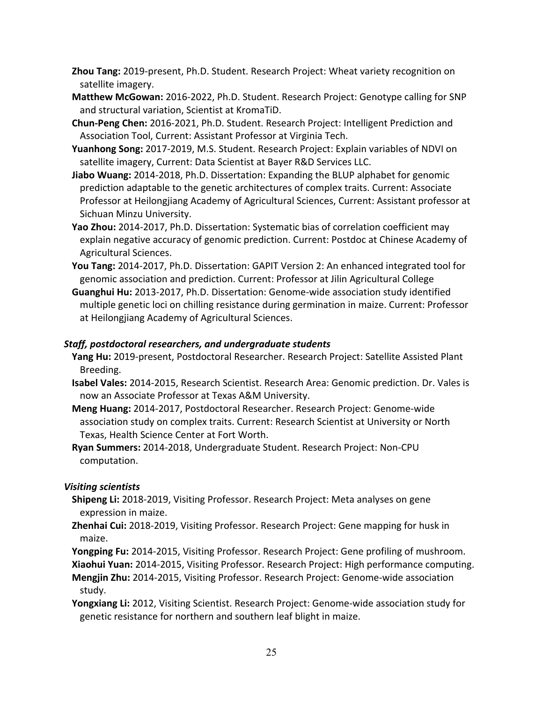- **Zhou Tang:** 2019-present, Ph.D. Student. Research Project: Wheat variety recognition on satellite imagery.
- **Matthew McGowan:** 2016-2022, Ph.D. Student. Research Project: Genotype calling for SNP and structural variation, Scientist at KromaTiD.
- **Chun-Peng Chen:** 2016-2021, Ph.D. Student. Research Project: Intelligent Prediction and Association Tool, Current: Assistant Professor at Virginia Tech.
- **Yuanhong Song:** 2017-2019, M.S. Student. Research Project: Explain variables of NDVI on satellite imagery, Current: Data Scientist at Bayer R&D Services LLC.
- **Jiabo Wuang:** 2014-2018, Ph.D. Dissertation: Expanding the BLUP alphabet for genomic prediction adaptable to the genetic architectures of complex traits. Current: Associate Professor at Heilongjiang Academy of Agricultural Sciences, Current: Assistant professor at Sichuan Minzu University.
- **Yao Zhou:** 2014-2017, Ph.D. Dissertation: Systematic bias of correlation coefficient may explain negative accuracy of genomic prediction. Current: Postdoc at Chinese Academy of Agricultural Sciences.
- **You Tang:** 2014-2017, Ph.D. Dissertation: GAPIT Version 2: An enhanced integrated tool for genomic association and prediction. Current: Professor at Jilin Agricultural College
- **Guanghui Hu:** 2013-2017, Ph.D. Dissertation: Genome-wide association study identified multiple genetic loci on chilling resistance during germination in maize. Current: Professor at Heilongjiang Academy of Agricultural Sciences.

# *Staff, postdoctoral researchers, and undergraduate students*

- **Yang Hu:** 2019-present, Postdoctoral Researcher. Research Project: Satellite Assisted Plant Breeding.
- **Isabel Vales:** 2014-2015, Research Scientist. Research Area: Genomic prediction. Dr. Vales is now an Associate Professor at Texas A&M University.
- **Meng Huang:** 2014-2017, Postdoctoral Researcher. Research Project: Genome-wide association study on complex traits. Current: Research Scientist at University or North Texas, Health Science Center at Fort Worth.
- **Ryan Summers:** 2014-2018, Undergraduate Student. Research Project: Non-CPU computation.

# *Visiting scientists*

- **Shipeng Li:** 2018-2019, Visiting Professor. Research Project: Meta analyses on gene expression in maize.
- **Zhenhai Cui:** 2018-2019, Visiting Professor. Research Project: Gene mapping for husk in maize.
- **Yongping Fu:** 2014-2015, Visiting Professor. Research Project: Gene profiling of mushroom.

**Xiaohui Yuan:** 2014-2015, Visiting Professor. Research Project: High performance computing.

- **Mengjin Zhu:** 2014-2015, Visiting Professor. Research Project: Genome-wide association study.
- **Yongxiang Li:** 2012, Visiting Scientist. Research Project: Genome-wide association study for genetic resistance for northern and southern leaf blight in maize.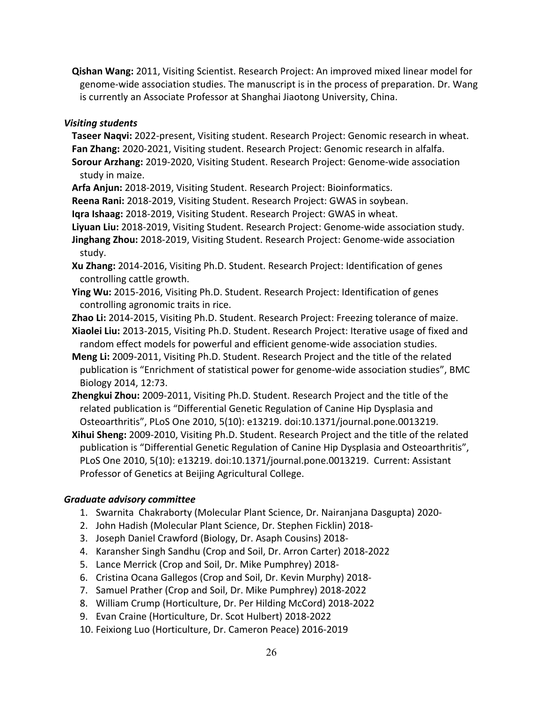**Qishan Wang:** 2011, Visiting Scientist. Research Project: An improved mixed linear model for genome-wide association studies. The manuscript is in the process of preparation. Dr. Wang is currently an Associate Professor at Shanghai Jiaotong University, China.

# *Visiting students*

**Taseer Naqvi:** 2022-present, Visiting student. Research Project: Genomic research in wheat. **Fan Zhang:** 2020-2021, Visiting student. Research Project: Genomic research in alfalfa. **Sorour Arzhang:** 2019-2020, Visiting Student. Research Project: Genome-wide association

study in maize.

**Arfa Anjun:** 2018-2019, Visiting Student. Research Project: Bioinformatics.

**Reena Rani:** 2018-2019, Visiting Student. Research Project: GWAS in soybean.

**Iqra Ishaag:** 2018-2019, Visiting Student. Research Project: GWAS in wheat.

**Liyuan Liu:** 2018-2019, Visiting Student. Research Project: Genome-wide association study.

**Jinghang Zhou:** 2018-2019, Visiting Student. Research Project: Genome-wide association study.

**Xu Zhang:** 2014-2016, Visiting Ph.D. Student. Research Project: Identification of genes controlling cattle growth.

**Ying Wu:** 2015-2016, Visiting Ph.D. Student. Research Project: Identification of genes controlling agronomic traits in rice.

**Zhao Li:** 2014-2015, Visiting Ph.D. Student. Research Project: Freezing tolerance of maize.

**Xiaolei Liu:** 2013-2015, Visiting Ph.D. Student. Research Project: Iterative usage of fixed and random effect models for powerful and efficient genome-wide association studies.

- **Meng Li:** 2009-2011, Visiting Ph.D. Student. Research Project and the title of the related publication is "Enrichment of statistical power for genome-wide association studies", BMC Biology 2014, 12:73.
- **Zhengkui Zhou:** 2009-2011, Visiting Ph.D. Student. Research Project and the title of the related publication is "Differential Genetic Regulation of Canine Hip Dysplasia and Osteoarthritis", PLoS One 2010, 5(10): e13219. doi:10.1371/journal.pone.0013219.

**Xihui Sheng:** 2009-2010, Visiting Ph.D. Student. Research Project and the title of the related publication is "Differential Genetic Regulation of Canine Hip Dysplasia and Osteoarthritis", PLoS One 2010, 5(10): e13219. doi:10.1371/journal.pone.0013219. Current: Assistant Professor of Genetics at Beijing Agricultural College.

# *Graduate advisory committee*

- 1. Swarnita Chakraborty (Molecular Plant Science, Dr. Nairanjana Dasgupta) 2020-
- 2. John Hadish (Molecular Plant Science, Dr. Stephen Ficklin) 2018-
- 3. Joseph Daniel Crawford (Biology, Dr. Asaph Cousins) 2018-
- 4. Karansher Singh Sandhu (Crop and Soil, Dr. Arron Carter) 2018-2022
- 5. Lance Merrick (Crop and Soil, Dr. Mike Pumphrey) 2018-
- 6. Cristina Ocana Gallegos (Crop and Soil, Dr. Kevin Murphy) 2018-
- 7. Samuel Prather (Crop and Soil, Dr. Mike Pumphrey) 2018-2022
- 8. William Crump (Horticulture, Dr. Per Hilding McCord) 2018-2022
- 9. Evan Craine (Horticulture, Dr. Scot Hulbert) 2018-2022
- 10. Feixiong Luo (Horticulture, Dr. Cameron Peace) 2016-2019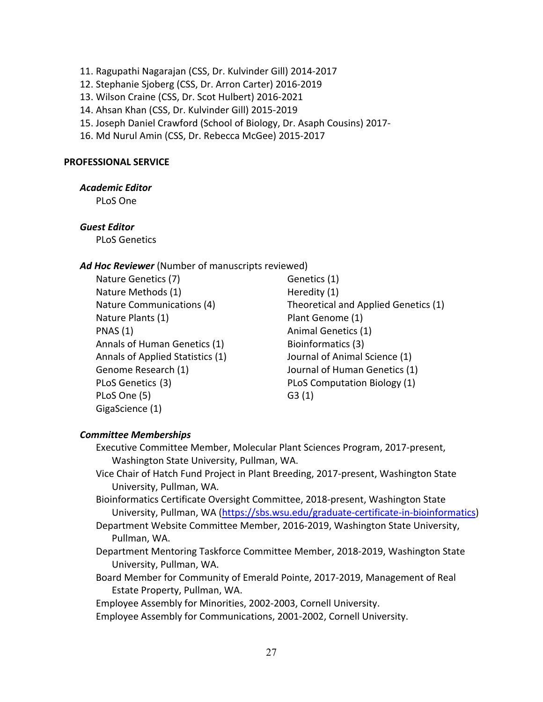- 11. Ragupathi Nagarajan (CSS, Dr. Kulvinder Gill) 2014-2017
- 12. Stephanie Sjoberg (CSS, Dr. Arron Carter) 2016-2019
- 13. Wilson Craine (CSS, Dr. Scot Hulbert) 2016-2021
- 14. Ahsan Khan (CSS, Dr. Kulvinder Gill) 2015-2019
- 15. Joseph Daniel Crawford (School of Biology, Dr. Asaph Cousins) 2017-
- 16. Md Nurul Amin (CSS, Dr. Rebecca McGee) 2015-2017

#### **PROFESSIONAL SERVICE**

#### *Academic Editor*

PLoS One

#### *Guest Editor*

PLoS Genetics

#### *Ad Hoc Reviewer* (Number of manuscripts reviewed)

Nature Genetics (7) Genetics (1) Nature Methods (1) Heredity (1) Nature Plants (1) Plant Genome (1) PNAS (1) Animal Genetics (1) Annals of Human Genetics (1) Bioinformatics (3) Annals of Applied Statistics (1) Journal of Animal Science (1) PLoS Genetics (3) PLoS Computation Biology (1) PLoS One (5) G3 (1) GigaScience (1)

Nature Communications (4) Theoretical and Applied Genetics (1) Genome Research (1) Journal of Human Genetics (1)

#### *Committee Memberships*

Executive Committee Member, Molecular Plant Sciences Program, 2017-present, Washington State University, Pullman, WA.

- Vice Chair of Hatch Fund Project in Plant Breeding, 2017-present, Washington State University, Pullman, WA.
- Bioinformatics Certificate Oversight Committee, 2018-present, Washington State University, Pullman, WA (https://sbs.wsu.edu/graduate-certificate-in-bioinformatics)
- Department Website Committee Member, 2016-2019, Washington State University, Pullman, WA.
- Department Mentoring Taskforce Committee Member, 2018-2019, Washington State University, Pullman, WA.
- Board Member for Community of Emerald Pointe, 2017-2019, Management of Real Estate Property, Pullman, WA.

Employee Assembly for Minorities, 2002-2003, Cornell University.

Employee Assembly for Communications, 2001-2002, Cornell University.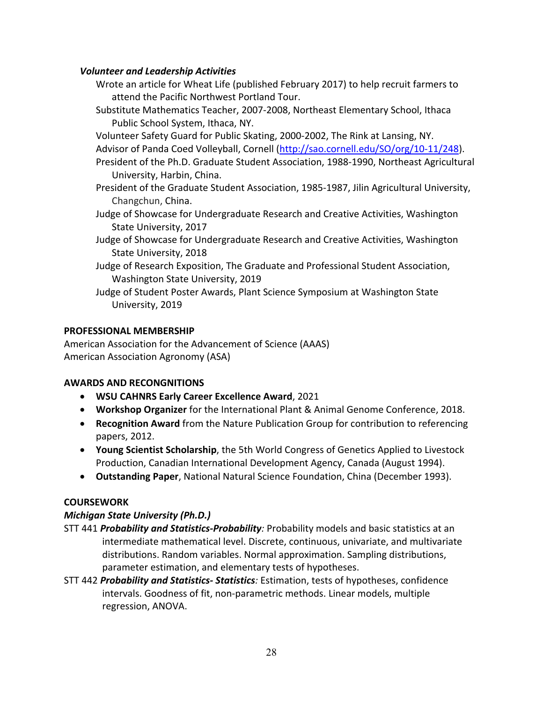# *Volunteer and Leadership Activities*

- Wrote an article for Wheat Life (published February 2017) to help recruit farmers to attend the Pacific Northwest Portland Tour.
- Substitute Mathematics Teacher, 2007-2008, Northeast Elementary School, Ithaca Public School System, Ithaca, NY.

Volunteer Safety Guard for Public Skating, 2000-2002, The Rink at Lansing, NY.

Advisor of Panda Coed Volleyball, Cornell (http://sao.cornell.edu/SO/org/10-11/248).

- President of the Ph.D. Graduate Student Association, 1988-1990, Northeast Agricultural University, Harbin, China.
- President of the Graduate Student Association, 1985-1987, Jilin Agricultural University, Changchun, China.
- Judge of Showcase for Undergraduate Research and Creative Activities, Washington State University, 2017
- Judge of Showcase for Undergraduate Research and Creative Activities, Washington State University, 2018
- Judge of Research Exposition, The Graduate and Professional Student Association, Washington State University, 2019
- Judge of Student Poster Awards, Plant Science Symposium at Washington State University, 2019

# **PROFESSIONAL MEMBERSHIP**

American Association for the Advancement of Science (AAAS) American Association Agronomy (ASA)

# **AWARDS AND RECONGNITIONS**

- **WSU CAHNRS Early Career Excellence Award**, 2021
- **Workshop Organizer** for the International Plant & Animal Genome Conference, 2018.
- **Recognition Award** from the Nature Publication Group for contribution to referencing papers, 2012.
- **Young Scientist Scholarship**, the 5th World Congress of Genetics Applied to Livestock Production, Canadian International Development Agency, Canada (August 1994).
- **Outstanding Paper**, National Natural Science Foundation, China (December 1993).

# **COURSEWORK**

# *Michigan State University (Ph.D.)*

- STT 441 *Probability and Statistics-Probability:* Probability models and basic statistics at an intermediate mathematical level. Discrete, continuous, univariate, and multivariate distributions. Random variables. Normal approximation. Sampling distributions, parameter estimation, and elementary tests of hypotheses.
- STT 442 *Probability and Statistics- Statistics:* Estimation, tests of hypotheses, confidence intervals. Goodness of fit, non-parametric methods. Linear models, multiple regression, ANOVA.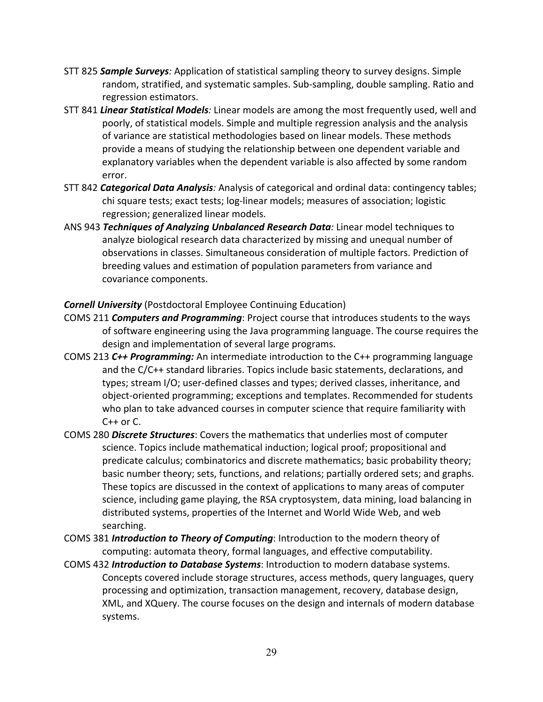- STT 825 *Sample Surveys:* Application of statistical sampling theory to survey designs. Simple random, stratified, and systematic samples. Sub-sampling, double sampling. Ratio and regression estimators.
- STT 841 *Linear Statistical Models:* Linear models are among the most frequently used, well and poorly, of statistical models. Simple and multiple regression analysis and the analysis of variance are statistical methodologies based on linear models. These methods provide a means of studying the relationship between one dependent variable and explanatory variables when the dependent variable is also affected by some random error.
- STT 842 *Categorical Data Analysis:* Analysis of categorical and ordinal data: contingency tables; chi square tests; exact tests; log-linear models; measures of association; logistic regression; generalized linear models.
- ANS 943 *Techniques of Analyzing Unbalanced Research Data:* Linear model techniques to analyze biological research data characterized by missing and unequal number of observations in classes. Simultaneous consideration of multiple factors. Prediction of breeding values and estimation of population parameters from variance and covariance components.

*Cornell University* (Postdoctoral Employee Continuing Education)

- COMS 211 *Computers and Programming*: Project course that introduces students to the ways of software engineering using the Java programming language. The course requires the design and implementation of several large programs.
- COMS 213 *C++ Programming:* An intermediate introduction to the C++ programming language and the C/C++ standard libraries. Topics include basic statements, declarations, and types; stream I/O; user-defined classes and types; derived classes, inheritance, and object-oriented programming; exceptions and templates. Recommended for students who plan to take advanced courses in computer science that require familiarity with  $C++$  or  $C.$
- COMS 280 *Discrete Structures*: Covers the mathematics that underlies most of computer science. Topics include mathematical induction; logical proof; propositional and predicate calculus; combinatorics and discrete mathematics; basic probability theory; basic number theory; sets, functions, and relations; partially ordered sets; and graphs. These topics are discussed in the context of applications to many areas of computer science, including game playing, the RSA cryptosystem, data mining, load balancing in distributed systems, properties of the Internet and World Wide Web, and web searching.
- COMS 381 *Introduction to Theory of Computing*: Introduction to the modern theory of computing: automata theory, formal languages, and effective computability.
- COMS 432 *Introduction to Database Systems*: Introduction to modern database systems. Concepts covered include storage structures, access methods, query languages, query processing and optimization, transaction management, recovery, database design, XML, and XQuery. The course focuses on the design and internals of modern database systems.